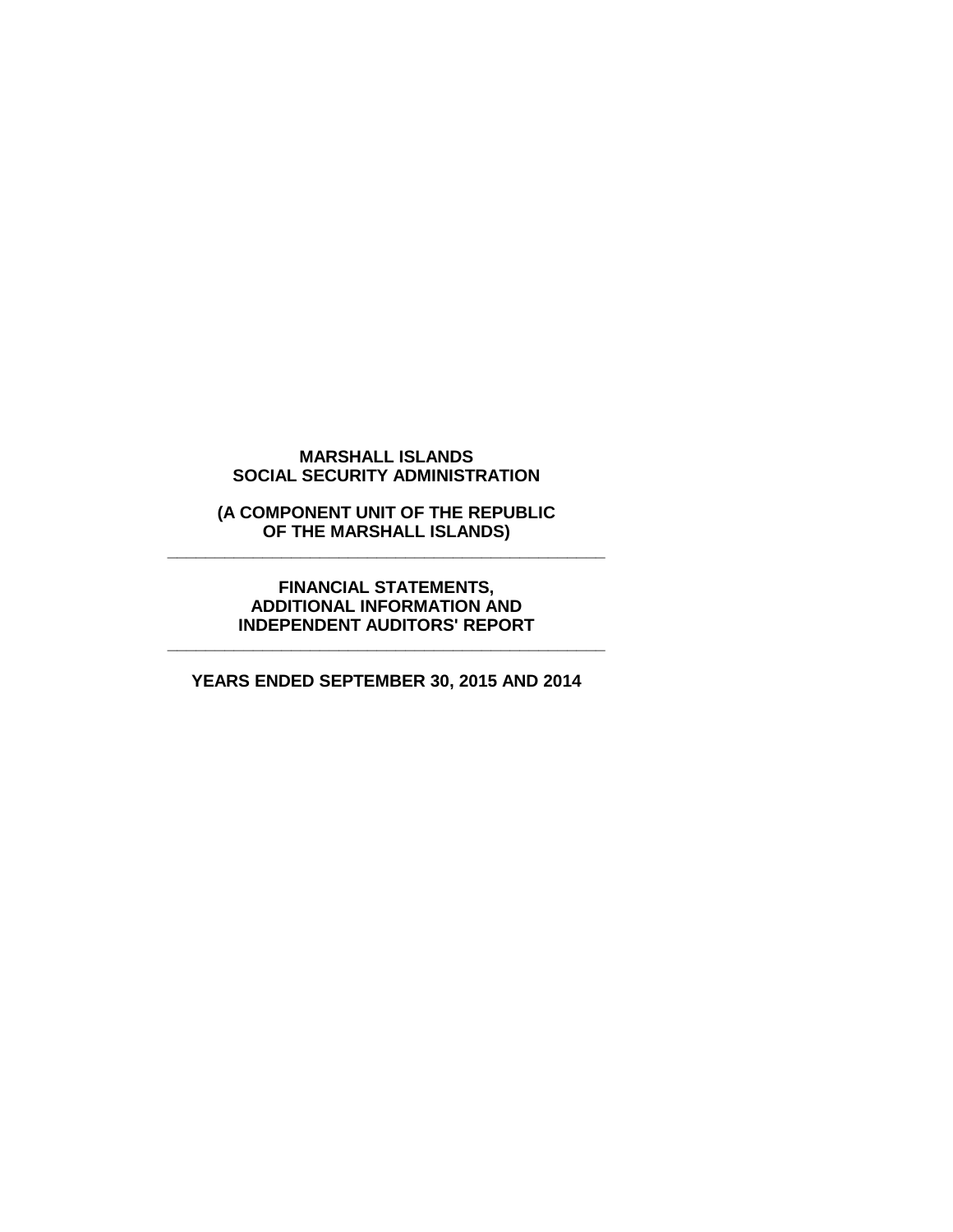## **MARSHALL ISLANDS SOCIAL SECURITY ADMINISTRATION**

**(A COMPONENT UNIT OF THE REPUBLIC OF THE MARSHALL ISLANDS) \_\_\_\_\_\_\_\_\_\_\_\_\_\_\_\_\_\_\_\_\_\_\_\_\_\_\_\_\_\_\_\_\_\_\_\_\_\_\_\_\_\_\_\_\_\_**

#### **FINANCIAL STATEMENTS, ADDITIONAL INFORMATION AND INDEPENDENT AUDITORS' REPORT**

**\_\_\_\_\_\_\_\_\_\_\_\_\_\_\_\_\_\_\_\_\_\_\_\_\_\_\_\_\_\_\_\_\_\_\_\_\_\_\_\_\_\_\_\_\_\_**

**YEARS ENDED SEPTEMBER 30, 2015 AND 2014**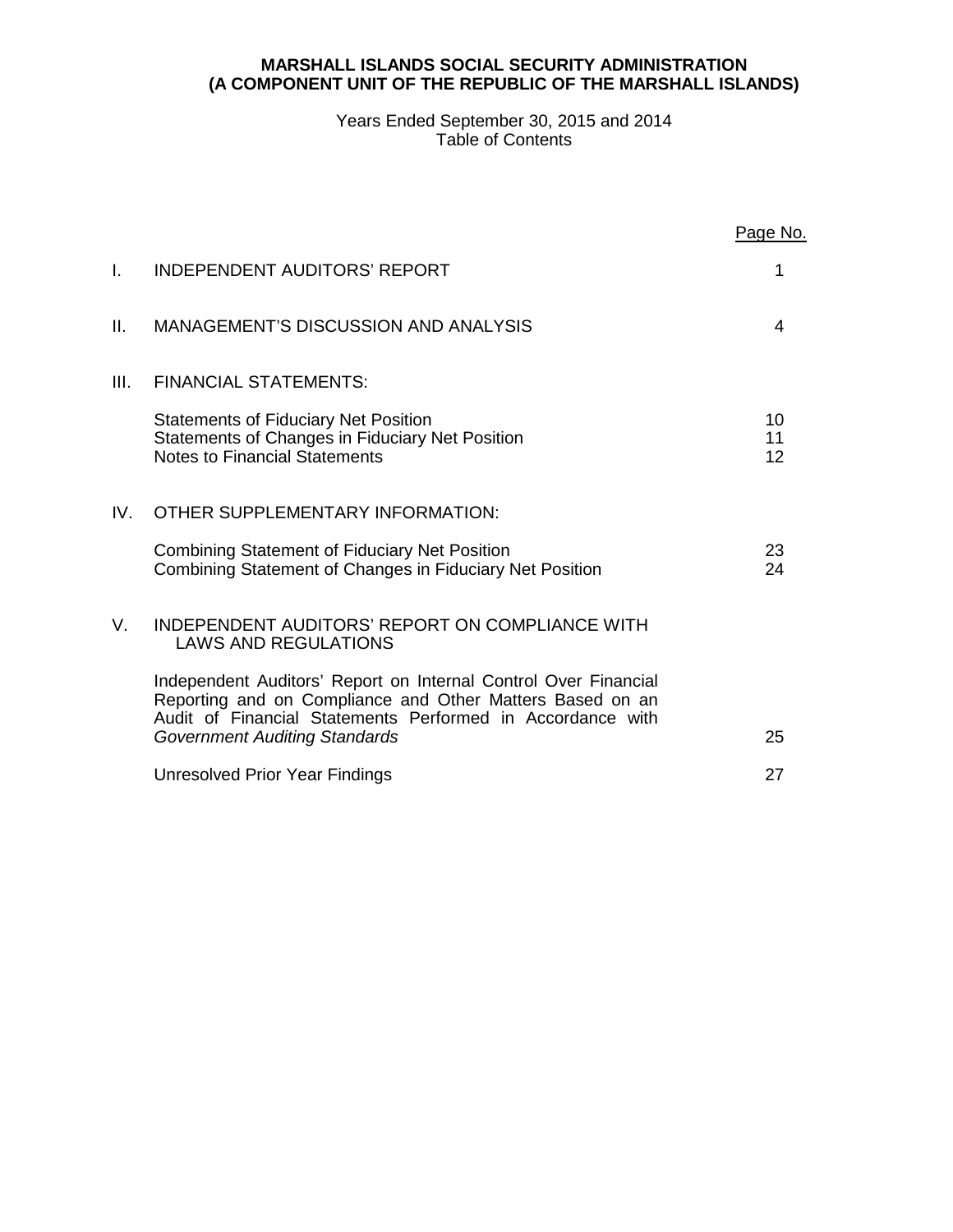## Years Ended September 30, 2015 and 2014 Table of Contents

|      |                                                                                                                                                                                            | Page No.       |
|------|--------------------------------------------------------------------------------------------------------------------------------------------------------------------------------------------|----------------|
| I.   | INDEPENDENT AUDITORS' REPORT                                                                                                                                                               | 1              |
| II.  | <b>MANAGEMENT'S DISCUSSION AND ANALYSIS</b>                                                                                                                                                | 4              |
| III. | <b>FINANCIAL STATEMENTS:</b>                                                                                                                                                               |                |
|      | <b>Statements of Fiduciary Net Position</b><br>Statements of Changes in Fiduciary Net Position<br><b>Notes to Financial Statements</b>                                                     | 10<br>11<br>12 |
| IV.  | OTHER SUPPLEMENTARY INFORMATION:                                                                                                                                                           |                |
|      | <b>Combining Statement of Fiduciary Net Position</b><br>Combining Statement of Changes in Fiduciary Net Position                                                                           | 23<br>24       |
| V.   | INDEPENDENT AUDITORS' REPORT ON COMPLIANCE WITH<br><b>LAWS AND REGULATIONS</b>                                                                                                             |                |
|      | Independent Auditors' Report on Internal Control Over Financial<br>Reporting and on Compliance and Other Matters Based on an<br>Audit of Financial Statements Performed in Accordance with | 25             |
|      | <b>Government Auditing Standards</b>                                                                                                                                                       |                |
|      | Unresolved Prior Year Findings                                                                                                                                                             | 27             |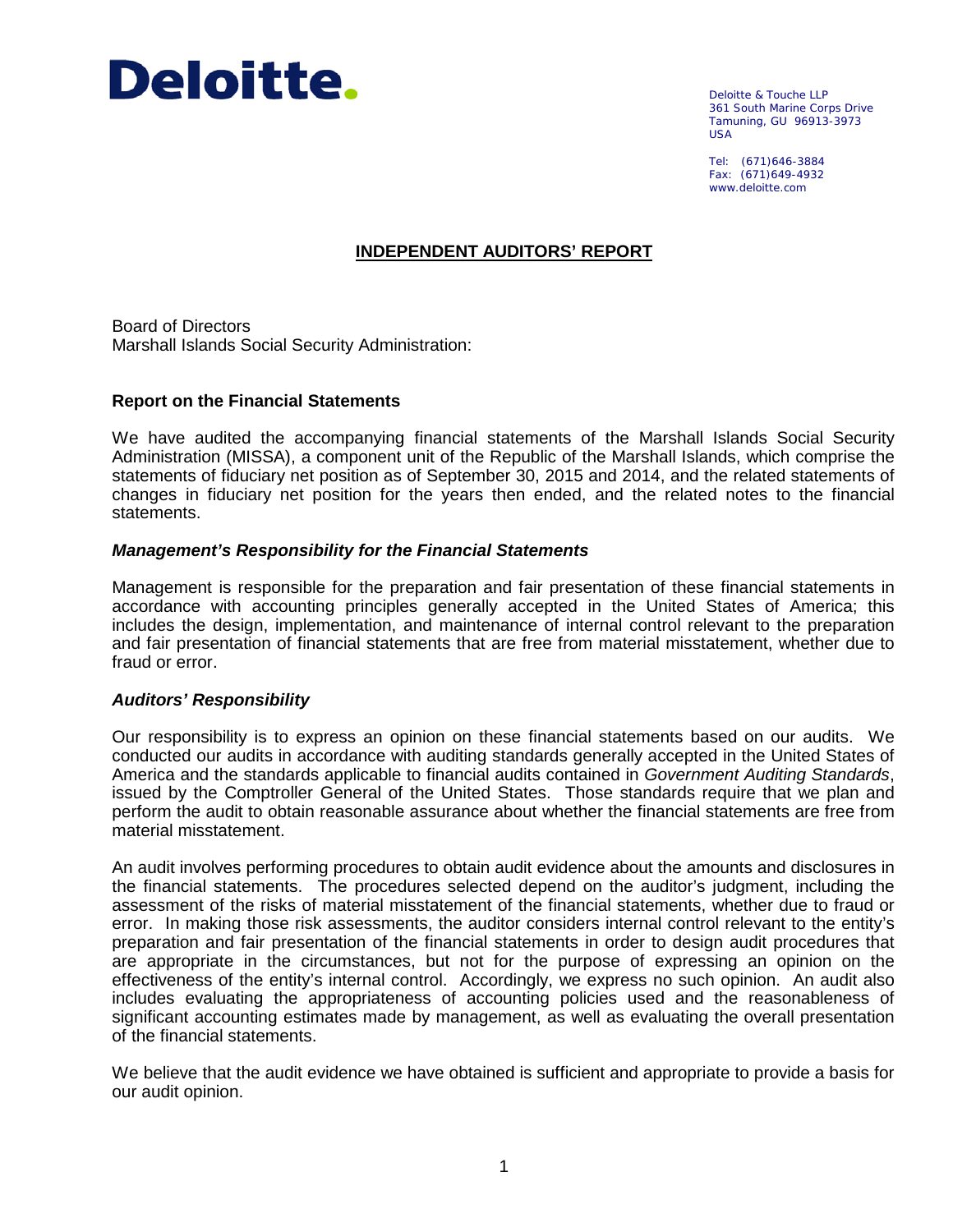

Deloitte & Touche LLP 361 South Marine Corps Drive Tamuning, GU 96913-3973 USA

Tel: (671)646-3884 Fax: (671)649-4932 www.deloitte.com

# **INDEPENDENT AUDITORS' REPORT**

Board of Directors Marshall Islands Social Security Administration:

#### **Report on the Financial Statements**

We have audited the accompanying financial statements of the Marshall Islands Social Security Administration (MISSA), a component unit of the Republic of the Marshall Islands, which comprise the statements of fiduciary net position as of September 30, 2015 and 2014, and the related statements of changes in fiduciary net position for the years then ended, and the related notes to the financial statements.

#### *Management's Responsibility for the Financial Statements*

Management is responsible for the preparation and fair presentation of these financial statements in accordance with accounting principles generally accepted in the United States of America; this includes the design, implementation, and maintenance of internal control relevant to the preparation and fair presentation of financial statements that are free from material misstatement, whether due to fraud or error.

#### *Auditors' Responsibility*

Our responsibility is to express an opinion on these financial statements based on our audits. We conducted our audits in accordance with auditing standards generally accepted in the United States of America and the standards applicable to financial audits contained in *Government Auditing Standards*, issued by the Comptroller General of the United States. Those standards require that we plan and perform the audit to obtain reasonable assurance about whether the financial statements are free from material misstatement.

An audit involves performing procedures to obtain audit evidence about the amounts and disclosures in the financial statements. The procedures selected depend on the auditor's judgment, including the assessment of the risks of material misstatement of the financial statements, whether due to fraud or error. In making those risk assessments, the auditor considers internal control relevant to the entity's preparation and fair presentation of the financial statements in order to design audit procedures that are appropriate in the circumstances, but not for the purpose of expressing an opinion on the effectiveness of the entity's internal control. Accordingly, we express no such opinion. An audit also includes evaluating the appropriateness of accounting policies used and the reasonableness of significant accounting estimates made by management, as well as evaluating the overall presentation of the financial statements.

We believe that the audit evidence we have obtained is sufficient and appropriate to provide a basis for our audit opinion.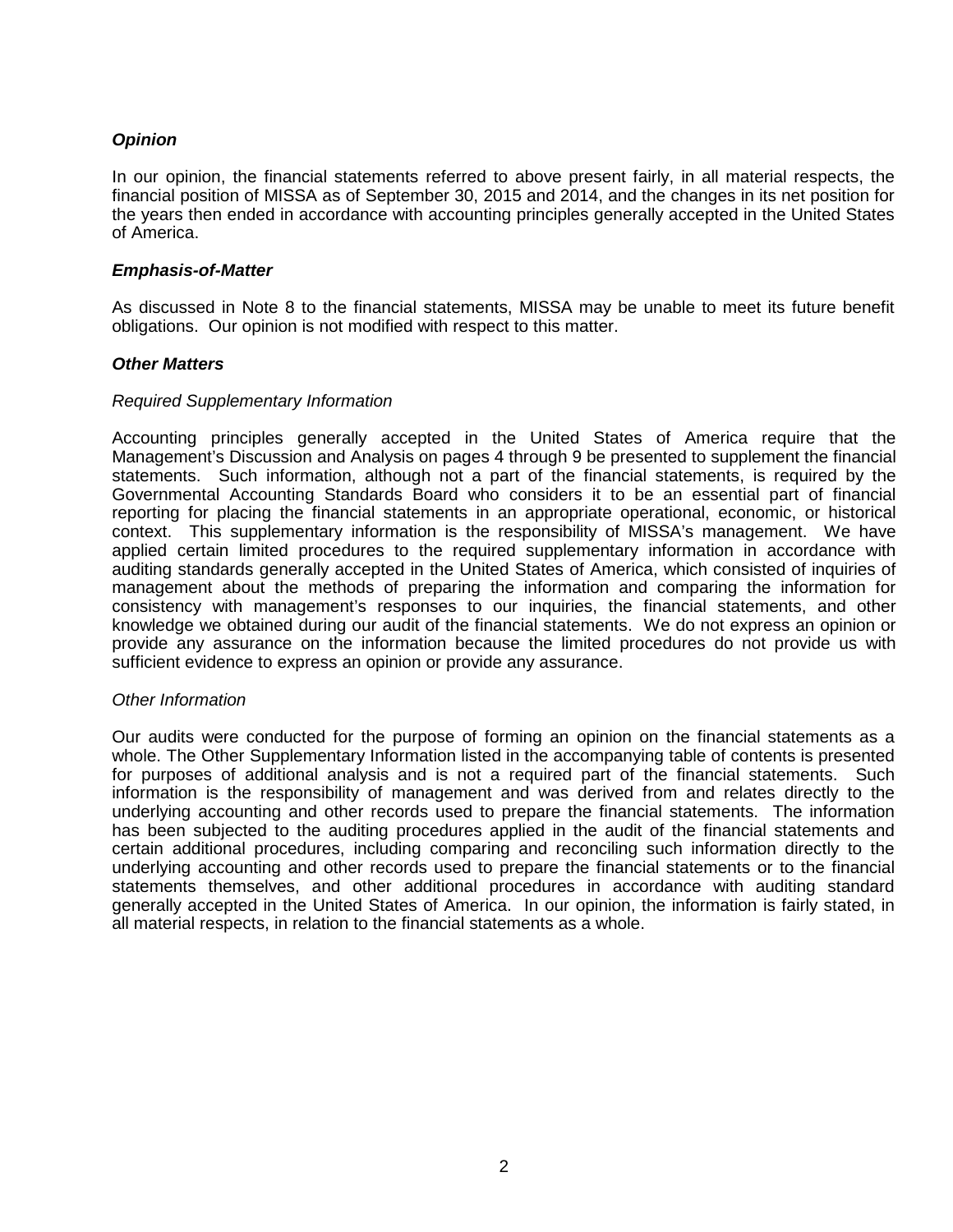# *Opinion*

In our opinion, the financial statements referred to above present fairly, in all material respects, the financial position of MISSA as of September 30, 2015 and 2014, and the changes in its net position for the years then ended in accordance with accounting principles generally accepted in the United States of America.

## *Emphasis-of-Matter*

As discussed in Note 8 to the financial statements, MISSA may be unable to meet its future benefit obligations. Our opinion is not modified with respect to this matter.

## *Other Matters*

#### *Required Supplementary Information*

Accounting principles generally accepted in the United States of America require that the Management's Discussion and Analysis on pages 4 through 9 be presented to supplement the financial statements. Such information, although not a part of the financial statements, is required by the Governmental Accounting Standards Board who considers it to be an essential part of financial reporting for placing the financial statements in an appropriate operational, economic, or historical context. This supplementary information is the responsibility of MISSA's management. We have applied certain limited procedures to the required supplementary information in accordance with auditing standards generally accepted in the United States of America, which consisted of inquiries of management about the methods of preparing the information and comparing the information for consistency with management's responses to our inquiries, the financial statements, and other knowledge we obtained during our audit of the financial statements. We do not express an opinion or provide any assurance on the information because the limited procedures do not provide us with sufficient evidence to express an opinion or provide any assurance.

#### *Other Information*

Our audits were conducted for the purpose of forming an opinion on the financial statements as a whole. The Other Supplementary Information listed in the accompanying table of contents is presented for purposes of additional analysis and is not a required part of the financial statements. Such information is the responsibility of management and was derived from and relates directly to the underlying accounting and other records used to prepare the financial statements. The information has been subjected to the auditing procedures applied in the audit of the financial statements and certain additional procedures, including comparing and reconciling such information directly to the underlying accounting and other records used to prepare the financial statements or to the financial statements themselves, and other additional procedures in accordance with auditing standard generally accepted in the United States of America. In our opinion, the information is fairly stated, in all material respects, in relation to the financial statements as a whole.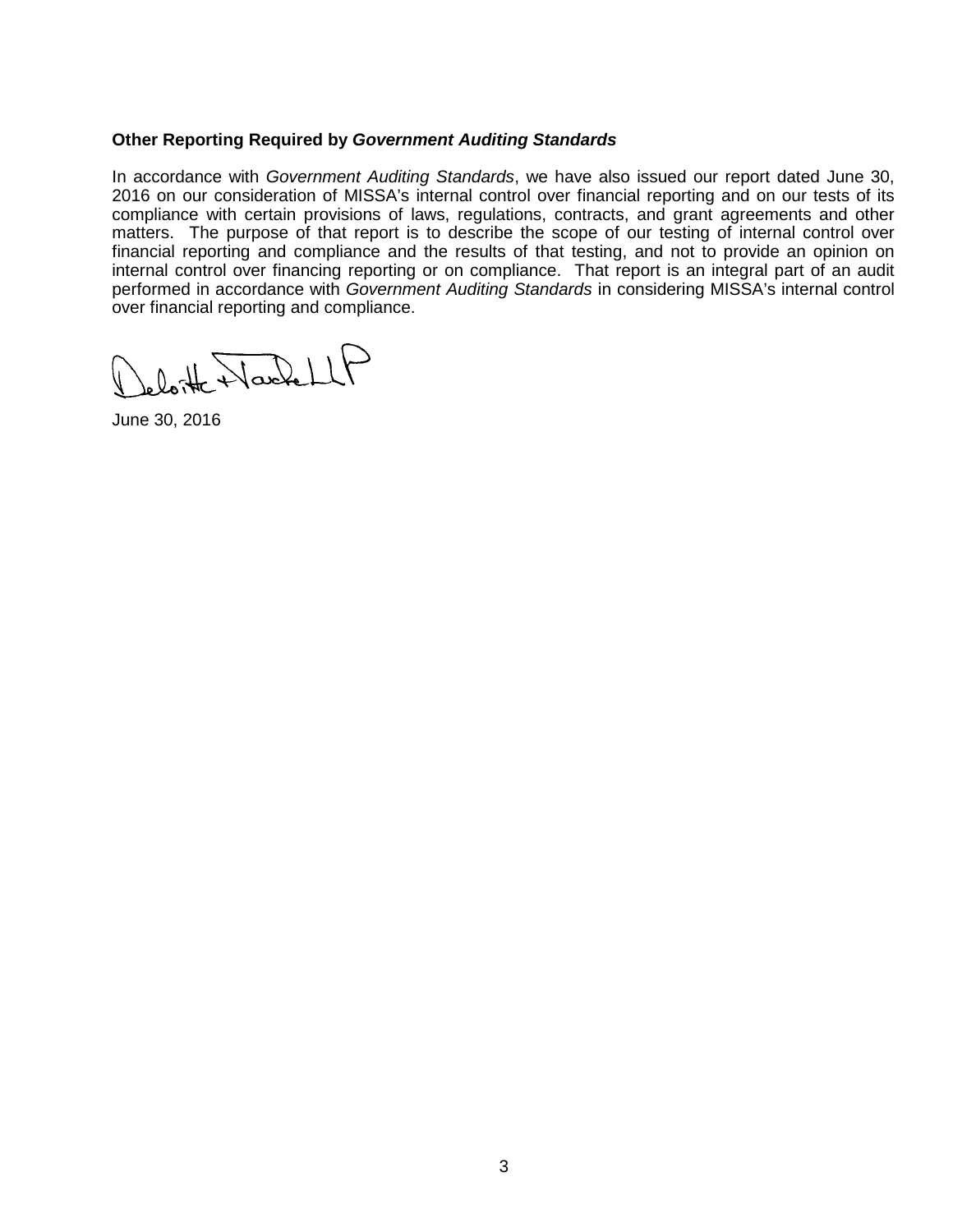# **Other Reporting Required by** *Government Auditing Standards*

In accordance with *Government Auditing Standards*, we have also issued our report dated June 30, 2016 on our consideration of MISSA's internal control over financial reporting and on our tests of its compliance with certain provisions of laws, regulations, contracts, and grant agreements and other matters. The purpose of that report is to describe the scope of our testing of internal control over financial reporting and compliance and the results of that testing, and not to provide an opinion on internal control over financing reporting or on compliance. That report is an integral part of an audit performed in accordance with *Government Auditing Standards* in considering MISSA's internal control over financial reporting and compliance.

leloite NachellP

June 30, 2016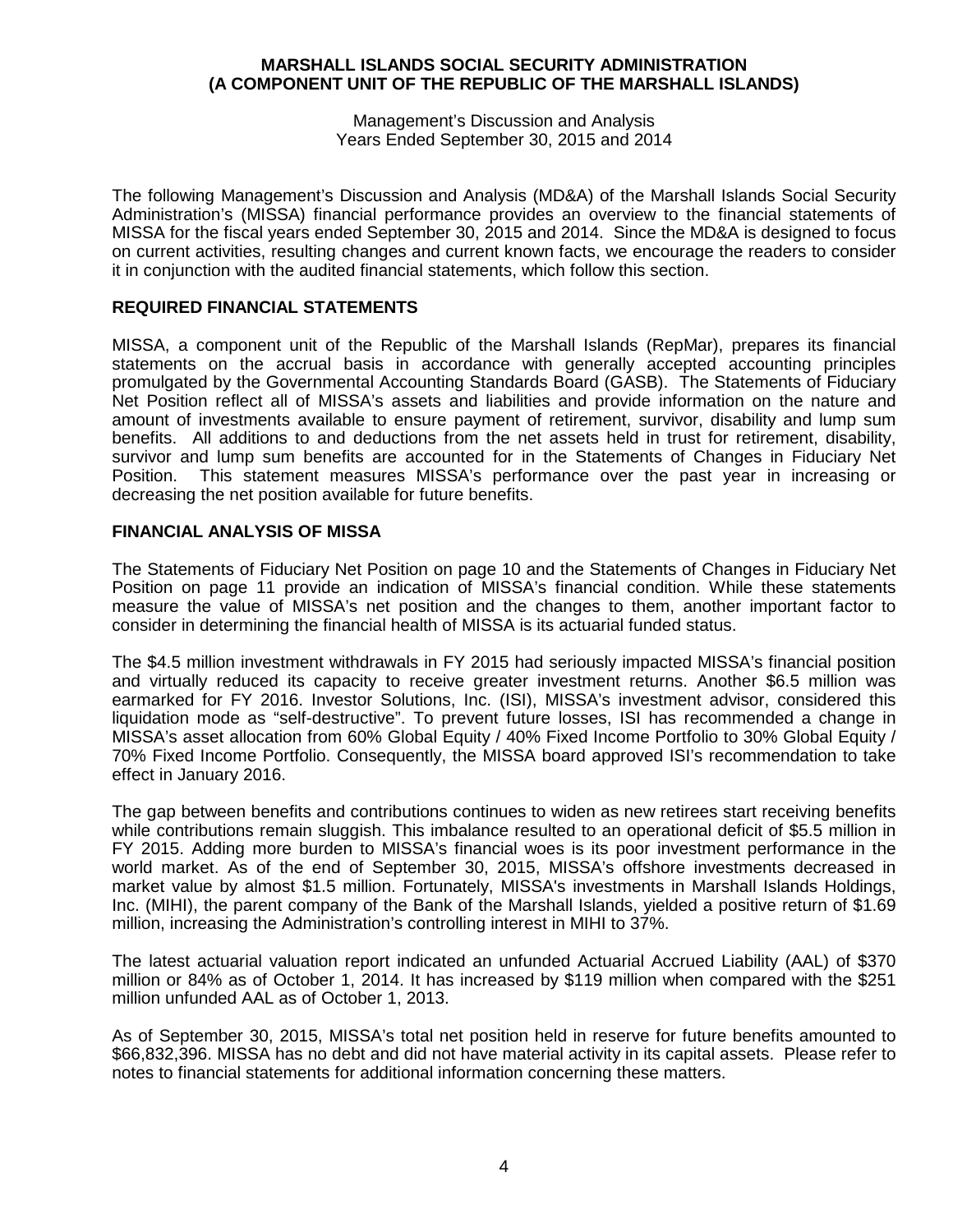Management's Discussion and Analysis Years Ended September 30, 2015 and 2014

The following Management's Discussion and Analysis (MD&A) of the Marshall Islands Social Security Administration's (MISSA) financial performance provides an overview to the financial statements of MISSA for the fiscal years ended September 30, 2015 and 2014. Since the MD&A is designed to focus on current activities, resulting changes and current known facts, we encourage the readers to consider it in conjunction with the audited financial statements, which follow this section.

# **REQUIRED FINANCIAL STATEMENTS**

MISSA, a component unit of the Republic of the Marshall Islands (RepMar), prepares its financial statements on the accrual basis in accordance with generally accepted accounting principles promulgated by the Governmental Accounting Standards Board (GASB). The Statements of Fiduciary Net Position reflect all of MISSA's assets and liabilities and provide information on the nature and amount of investments available to ensure payment of retirement, survivor, disability and lump sum benefits. All additions to and deductions from the net assets held in trust for retirement, disability, survivor and lump sum benefits are accounted for in the Statements of Changes in Fiduciary Net Position. This statement measures MISSA's performance over the past year in increasing or decreasing the net position available for future benefits.

## **FINANCIAL ANALYSIS OF MISSA**

The Statements of Fiduciary Net Position on page 10 and the Statements of Changes in Fiduciary Net Position on page 11 provide an indication of MISSA's financial condition. While these statements measure the value of MISSA's net position and the changes to them, another important factor to consider in determining the financial health of MISSA is its actuarial funded status.

The \$4.5 million investment withdrawals in FY 2015 had seriously impacted MISSA's financial position and virtually reduced its capacity to receive greater investment returns. Another \$6.5 million was earmarked for FY 2016. Investor Solutions, Inc. (ISI), MISSA's investment advisor, considered this liquidation mode as "self-destructive". To prevent future losses, ISI has recommended a change in MISSA's asset allocation from 60% Global Equity / 40% Fixed Income Portfolio to 30% Global Equity / 70% Fixed Income Portfolio. Consequently, the MISSA board approved ISI's recommendation to take effect in January 2016.

The gap between benefits and contributions continues to widen as new retirees start receiving benefits while contributions remain sluggish. This imbalance resulted to an operational deficit of \$5.5 million in FY 2015. Adding more burden to MISSA's financial woes is its poor investment performance in the world market. As of the end of September 30, 2015, MISSA's offshore investments decreased in market value by almost \$1.5 million. Fortunately, MISSA's investments in Marshall Islands Holdings, Inc. (MIHI), the parent company of the Bank of the Marshall Islands, yielded a positive return of \$1.69 million, increasing the Administration's controlling interest in MIHI to 37%.

The latest actuarial valuation report indicated an unfunded Actuarial Accrued Liability (AAL) of \$370 million or 84% as of October 1, 2014. It has increased by \$119 million when compared with the \$251 million unfunded AAL as of October 1, 2013.

As of September 30, 2015, MISSA's total net position held in reserve for future benefits amounted to \$66,832,396. MISSA has no debt and did not have material activity in its capital assets. Please refer to notes to financial statements for additional information concerning these matters.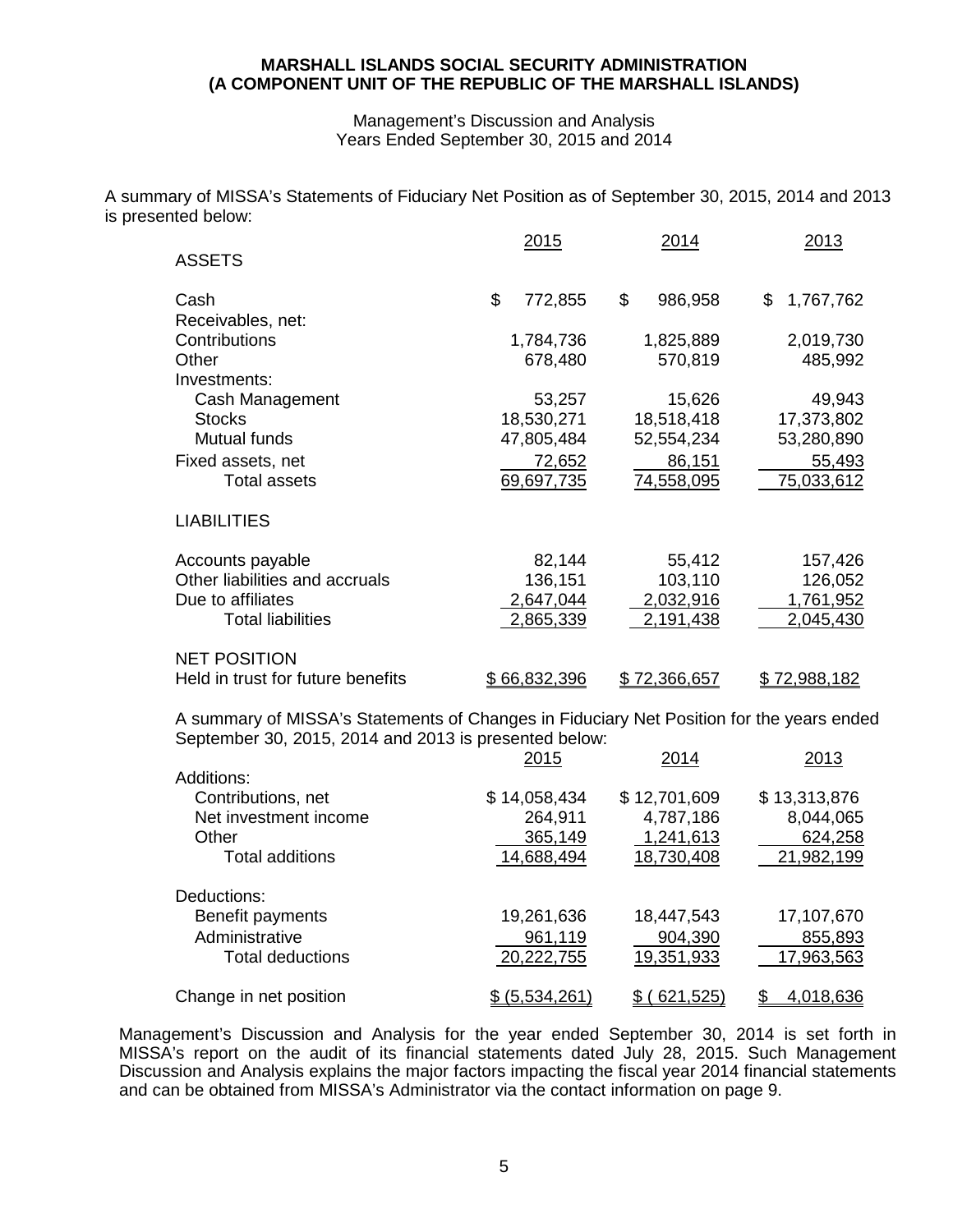Management's Discussion and Analysis Years Ended September 30, 2015 and 2014

A summary of MISSA's Statements of Fiduciary Net Position as of September 30, 2015, 2014 and 2013 is presented below:

| <b>ASSETS</b>                     | 2015 |              | 2014 |                   | 2013              |
|-----------------------------------|------|--------------|------|-------------------|-------------------|
| Cash                              | \$   | 772,855      | \$   | 986,958           | \$<br>1,767,762   |
| Receivables, net:                 |      |              |      |                   |                   |
| Contributions                     |      | 1,784,736    |      | 1,825,889         | 2,019,730         |
| Other                             |      | 678,480      |      | 570,819           | 485,992           |
| Investments:                      |      |              |      |                   |                   |
| Cash Management                   |      | 53,257       |      | 15,626            | 49,943            |
| <b>Stocks</b>                     |      | 18,530,271   |      | 18,518,418        | 17,373,802        |
| <b>Mutual funds</b>               |      | 47,805,484   |      | 52,554,234        | 53,280,890        |
| Fixed assets, net                 |      | 72,652       |      | 86,151            | 55,493            |
| Total assets                      |      | 69,697,735   |      | 74,558,095        | 75,033,612        |
| <b>LIABILITIES</b>                |      |              |      |                   |                   |
| Accounts payable                  |      | 82,144       |      | 55,412            | 157,426           |
| Other liabilities and accruals    |      | 136,151      |      | 103,110           | 126,052           |
| Due to affiliates                 |      | 2,647,044    |      | 2,032,916         | 1,761,952         |
| <b>Total liabilities</b>          |      | 2,865,339    |      | 2,191,438         | 2,045,430         |
| <b>NET POSITION</b>               |      |              |      |                   |                   |
| Held in trust for future benefits |      | \$66,832,396 |      | <u>72,366,657</u> | <u>72,988,182</u> |

A summary of MISSA's Statements of Changes in Fiduciary Net Position for the years ended September 30, 2015, 2014 and 2013 is presented below:

|                         | 2015         | 2014         | 2013             |
|-------------------------|--------------|--------------|------------------|
| Additions:              |              |              |                  |
| Contributions, net      | \$14,058,434 | \$12,701,609 | \$13,313,876     |
| Net investment income   | 264,911      | 4,787,186    | 8,044,065        |
| Other                   | 365,149      | 1,241,613    | 624,258          |
| Total additions         | 14,688,494   | 18,730,408   | 21,982,199       |
| Deductions:             |              |              |                  |
| Benefit payments        | 19,261,636   | 18,447,543   | 17,107,670       |
| Administrative          | 961,119      | 904,390      | 855,893          |
| <b>Total deductions</b> | 20,222,755   | 19,351,933   | 17,963,563       |
| Change in net position  | (5.534.261   | 621,525      | <u>4,018,636</u> |

Management's Discussion and Analysis for the year ended September 30, 2014 is set forth in MISSA's report on the audit of its financial statements dated July 28, 2015. Such Management Discussion and Analysis explains the major factors impacting the fiscal year 2014 financial statements and can be obtained from MISSA's Administrator via the contact information on page 9.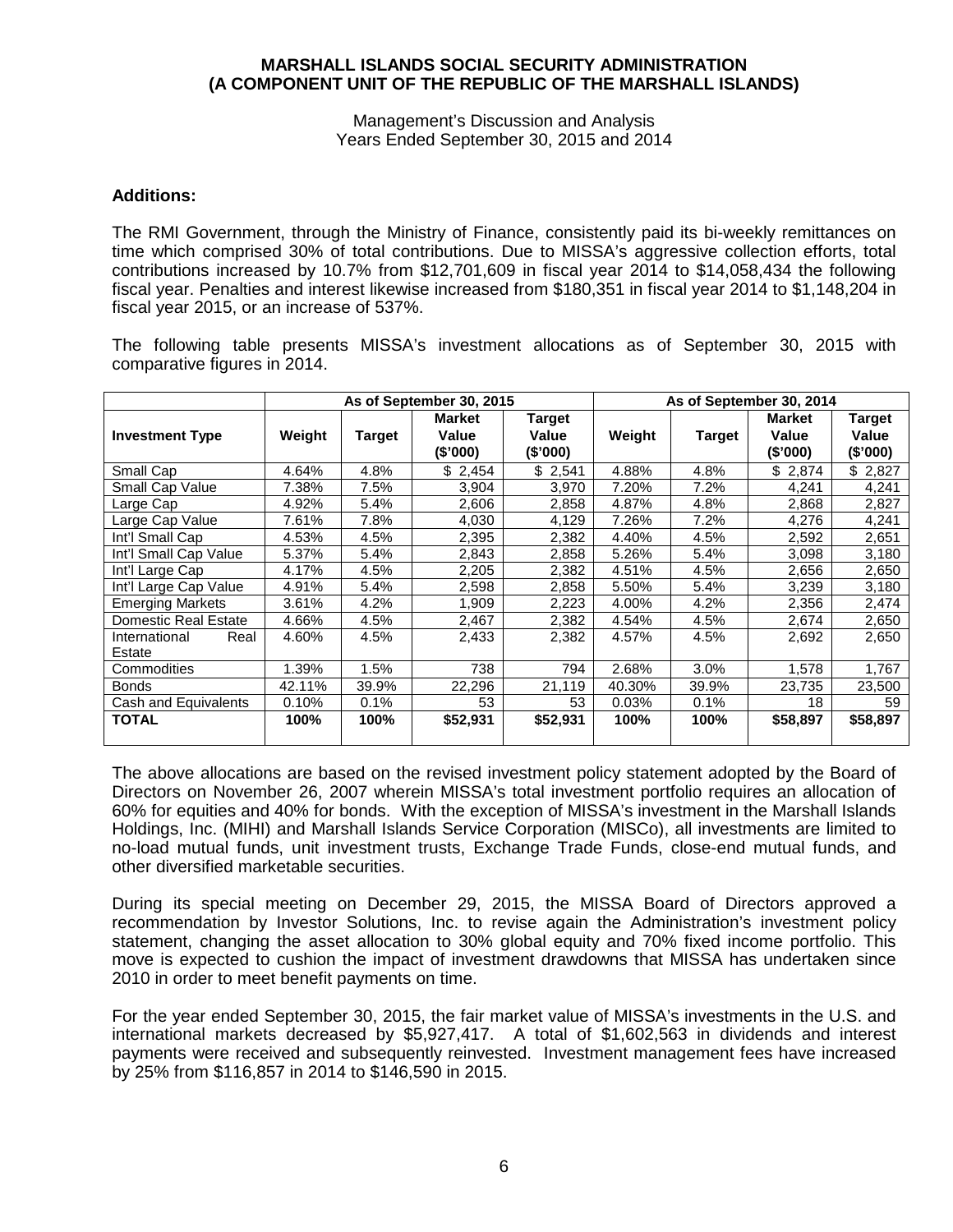Management's Discussion and Analysis Years Ended September 30, 2015 and 2014

# **Additions:**

The RMI Government, through the Ministry of Finance, consistently paid its bi-weekly remittances on time which comprised 30% of total contributions. Due to MISSA's aggressive collection efforts, total contributions increased by 10.7% from \$12,701,609 in fiscal year 2014 to \$14,058,434 the following fiscal year. Penalties and interest likewise increased from \$180,351 in fiscal year 2014 to \$1,148,204 in fiscal year 2015, or an increase of 537%.

The following table presents MISSA's investment allocations as of September 30, 2015 with comparative figures in 2014.

|                                 |        | As of September 30, 2015 |                                    |                                    |        | As of September 30, 2014 |                                    |                             |  |
|---------------------------------|--------|--------------------------|------------------------------------|------------------------------------|--------|--------------------------|------------------------------------|-----------------------------|--|
| <b>Investment Type</b>          | Weight | <b>Target</b>            | <b>Market</b><br>Value<br>(\$'000) | <b>Target</b><br>Value<br>(\$'000) | Weight | <b>Target</b>            | <b>Market</b><br>Value<br>(\$'000) | Target<br>Value<br>(\$'000) |  |
| Small Cap                       | 4.64%  | 4.8%                     | \$2,454                            | \$2,541                            | 4.88%  | 4.8%                     | \$2,874                            | \$2,827                     |  |
| Small Cap Value                 | 7.38%  | 7.5%                     | 3,904                              | 3,970                              | 7.20%  | 7.2%                     | 4,241                              | 4,241                       |  |
| Large Cap                       | 4.92%  | 5.4%                     | 2,606                              | 2,858                              | 4.87%  | 4.8%                     | 2,868                              | 2,827                       |  |
| Large Cap Value                 | 7.61%  | 7.8%                     | 4,030                              | 4,129                              | 7.26%  | 7.2%                     | 4,276                              | 4,241                       |  |
| Int'l Small Cap                 | 4.53%  | 4.5%                     | 2,395                              | 2,382                              | 4.40%  | 4.5%                     | 2,592                              | 2,651                       |  |
| Int'l Small Cap Value           | 5.37%  | 5.4%                     | 2,843                              | 2,858                              | 5.26%  | 5.4%                     | 3,098                              | 3,180                       |  |
| Int'l Large Cap                 | 4.17%  | 4.5%                     | 2,205                              | 2,382                              | 4.51%  | 4.5%                     | 2,656                              | 2,650                       |  |
| Int'l Large Cap Value           | 4.91%  | 5.4%                     | 2,598                              | 2,858                              | 5.50%  | 5.4%                     | 3,239                              | 3,180                       |  |
| <b>Emerging Markets</b>         | 3.61%  | 4.2%                     | 1,909                              | 2,223                              | 4.00%  | 4.2%                     | 2,356                              | 2,474                       |  |
| <b>Domestic Real Estate</b>     | 4.66%  | 4.5%                     | 2,467                              | 2,382                              | 4.54%  | 4.5%                     | 2,674                              | 2,650                       |  |
| International<br>Real<br>Estate | 4.60%  | 4.5%                     | 2,433                              | 2,382                              | 4.57%  | 4.5%                     | 2,692                              | 2,650                       |  |
| Commodities                     | 1.39%  | 1.5%                     | 738                                | 794                                | 2.68%  | 3.0%                     | 1,578                              | 1,767                       |  |
| <b>Bonds</b>                    | 42.11% | 39.9%                    | 22,296                             | 21,119                             | 40.30% | 39.9%                    | 23,735                             | 23,500                      |  |
| Cash and Equivalents            | 0.10%  | 0.1%                     | 53                                 | 53                                 | 0.03%  | 0.1%                     | 18                                 | 59                          |  |
| TOTAL                           | 100%   | 100%                     | \$52,931                           | \$52,931                           | 100%   | 100%                     | \$58,897                           | \$58,897                    |  |

The above allocations are based on the revised investment policy statement adopted by the Board of Directors on November 26, 2007 wherein MISSA's total investment portfolio requires an allocation of 60% for equities and 40% for bonds. With the exception of MISSA's investment in the Marshall Islands Holdings, Inc. (MIHI) and Marshall Islands Service Corporation (MISCo), all investments are limited to no-load mutual funds, unit investment trusts, Exchange Trade Funds, close-end mutual funds, and other diversified marketable securities.

During its special meeting on December 29, 2015, the MISSA Board of Directors approved a recommendation by Investor Solutions, Inc. to revise again the Administration's investment policy statement, changing the asset allocation to 30% global equity and 70% fixed income portfolio. This move is expected to cushion the impact of investment drawdowns that MISSA has undertaken since 2010 in order to meet benefit payments on time.

For the year ended September 30, 2015, the fair market value of MISSA's investments in the U.S. and international markets decreased by \$5,927,417. A total of \$1,602,563 in dividends and interest payments were received and subsequently reinvested. Investment management fees have increased by 25% from \$116,857 in 2014 to \$146,590 in 2015.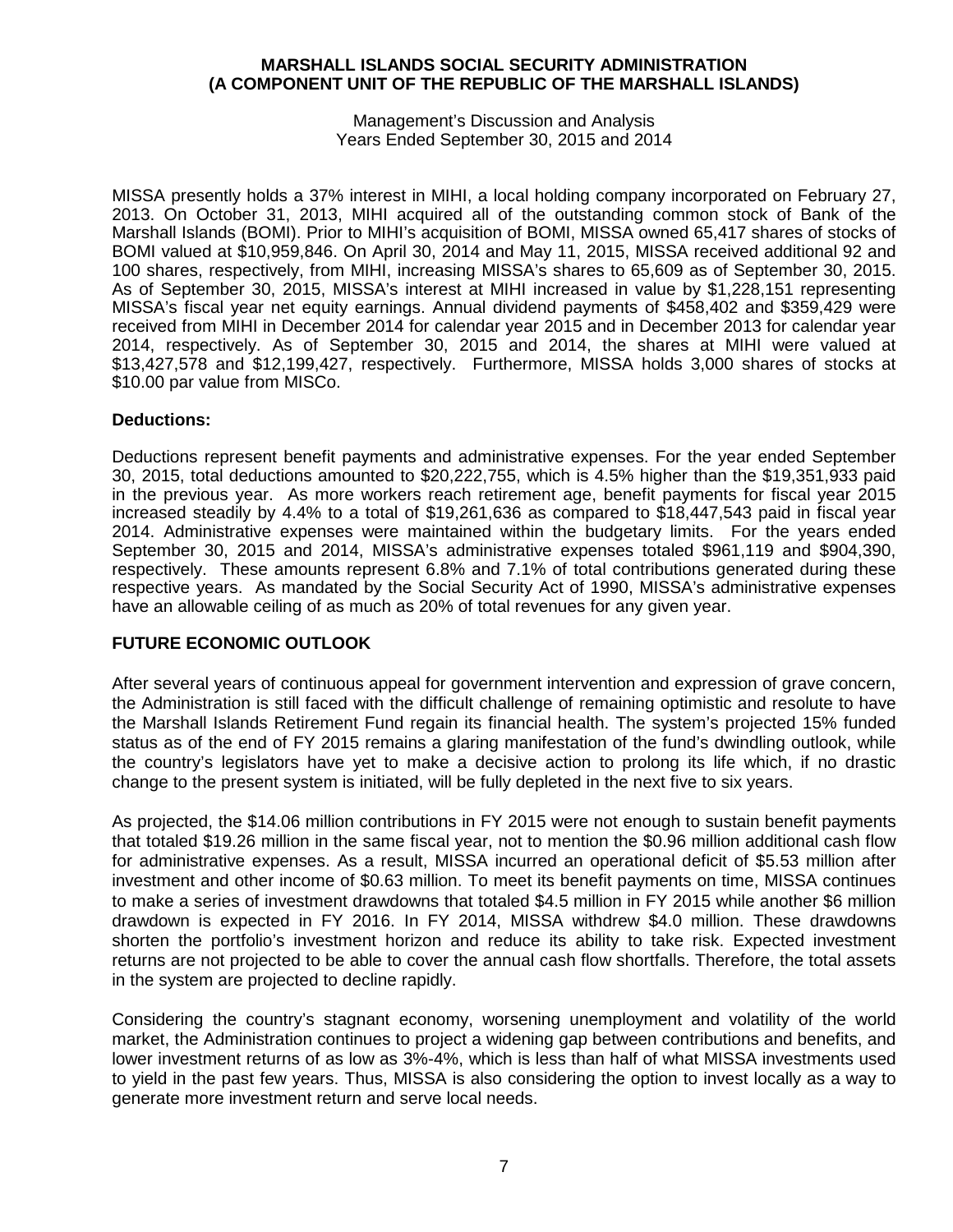Management's Discussion and Analysis Years Ended September 30, 2015 and 2014

MISSA presently holds a 37% interest in MIHI, a local holding company incorporated on February 27, 2013. On October 31, 2013, MIHI acquired all of the outstanding common stock of Bank of the Marshall Islands (BOMI). Prior to MIHI's acquisition of BOMI, MISSA owned 65,417 shares of stocks of BOMI valued at \$10,959,846. On April 30, 2014 and May 11, 2015, MISSA received additional 92 and 100 shares, respectively, from MIHI, increasing MISSA's shares to 65,609 as of September 30, 2015. As of September 30, 2015, MISSA's interest at MIHI increased in value by \$1,228,151 representing MISSA's fiscal year net equity earnings. Annual dividend payments of \$458,402 and \$359,429 were received from MIHI in December 2014 for calendar year 2015 and in December 2013 for calendar year 2014, respectively. As of September 30, 2015 and 2014, the shares at MIHI were valued at \$13,427,578 and \$12,199,427, respectively. Furthermore, MISSA holds 3,000 shares of stocks at \$10.00 par value from MISCo.

# **Deductions:**

Deductions represent benefit payments and administrative expenses. For the year ended September 30, 2015, total deductions amounted to \$20,222,755, which is 4.5% higher than the \$19,351,933 paid in the previous year. As more workers reach retirement age, benefit payments for fiscal year 2015 increased steadily by 4.4% to a total of \$19,261,636 as compared to \$18,447,543 paid in fiscal year 2014. Administrative expenses were maintained within the budgetary limits. For the years ended September 30, 2015 and 2014, MISSA's administrative expenses totaled \$961,119 and \$904,390, respectively. These amounts represent 6.8% and 7.1% of total contributions generated during these respective years. As mandated by the Social Security Act of 1990, MISSA's administrative expenses have an allowable ceiling of as much as 20% of total revenues for any given year.

# **FUTURE ECONOMIC OUTLOOK**

After several years of continuous appeal for government intervention and expression of grave concern, the Administration is still faced with the difficult challenge of remaining optimistic and resolute to have the Marshall Islands Retirement Fund regain its financial health. The system's projected 15% funded status as of the end of FY 2015 remains a glaring manifestation of the fund's dwindling outlook, while the country's legislators have yet to make a decisive action to prolong its life which, if no drastic change to the present system is initiated, will be fully depleted in the next five to six years.

As projected, the \$14.06 million contributions in FY 2015 were not enough to sustain benefit payments that totaled \$19.26 million in the same fiscal year, not to mention the \$0.96 million additional cash flow for administrative expenses. As a result, MISSA incurred an operational deficit of \$5.53 million after investment and other income of \$0.63 million. To meet its benefit payments on time, MISSA continues to make a series of investment drawdowns that totaled \$4.5 million in FY 2015 while another \$6 million drawdown is expected in FY 2016. In FY 2014, MISSA withdrew \$4.0 million. These drawdowns shorten the portfolio's investment horizon and reduce its ability to take risk. Expected investment returns are not projected to be able to cover the annual cash flow shortfalls. Therefore, the total assets in the system are projected to decline rapidly.

Considering the country's stagnant economy, worsening unemployment and volatility of the world market, the Administration continues to project a widening gap between contributions and benefits, and lower investment returns of as low as 3%-4%, which is less than half of what MISSA investments used to yield in the past few years. Thus, MISSA is also considering the option to invest locally as a way to generate more investment return and serve local needs.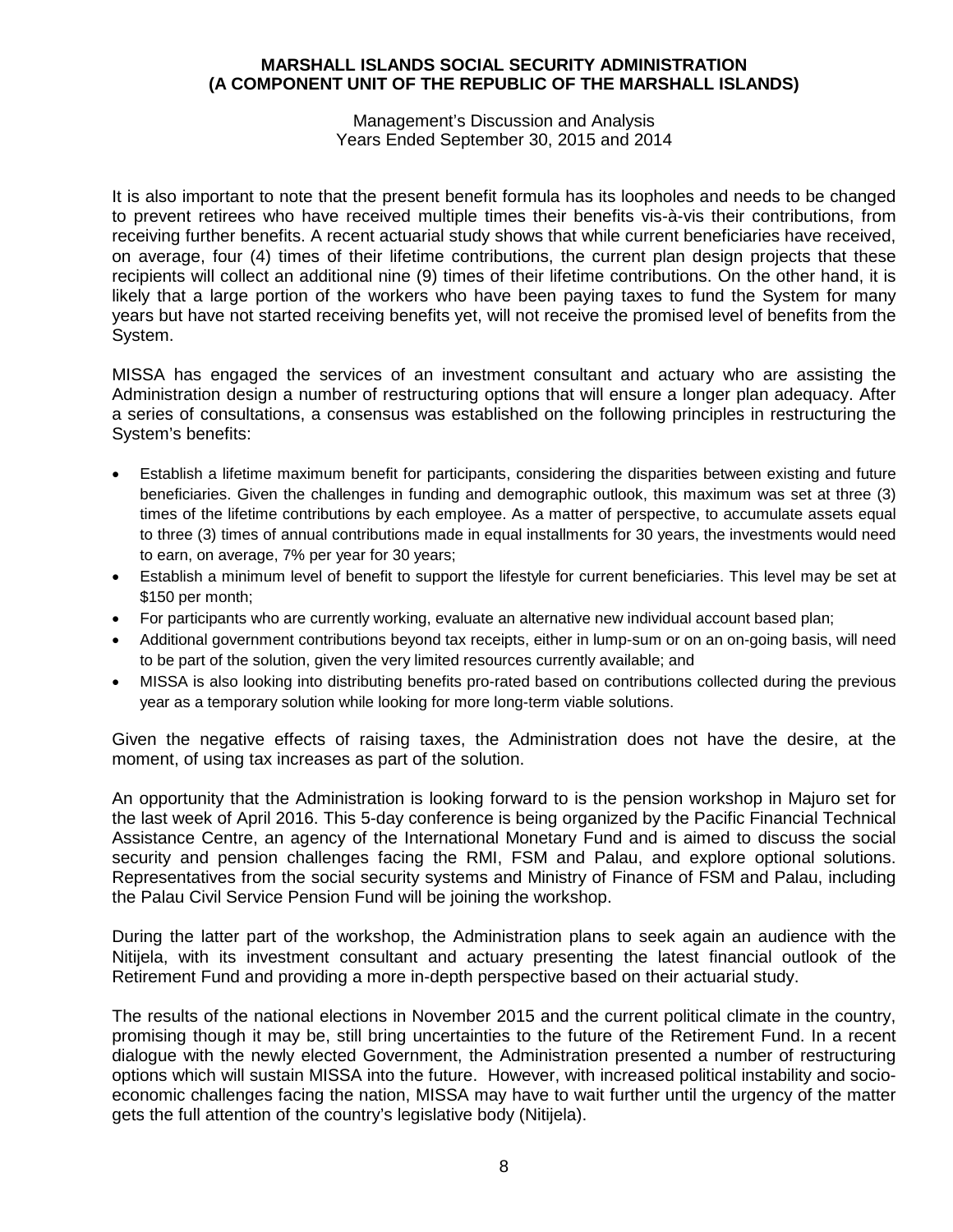Management's Discussion and Analysis Years Ended September 30, 2015 and 2014

It is also important to note that the present benefit formula has its loopholes and needs to be changed to prevent retirees who have received multiple times their benefits vis-à-vis their contributions, from receiving further benefits. A recent actuarial study shows that while current beneficiaries have received, on average, four (4) times of their lifetime contributions, the current plan design projects that these recipients will collect an additional nine (9) times of their lifetime contributions. On the other hand, it is likely that a large portion of the workers who have been paying taxes to fund the System for many years but have not started receiving benefits yet, will not receive the promised level of benefits from the System.

MISSA has engaged the services of an investment consultant and actuary who are assisting the Administration design a number of restructuring options that will ensure a longer plan adequacy. After a series of consultations, a consensus was established on the following principles in restructuring the System's benefits:

- Establish a lifetime maximum benefit for participants, considering the disparities between existing and future beneficiaries. Given the challenges in funding and demographic outlook, this maximum was set at three (3) times of the lifetime contributions by each employee. As a matter of perspective, to accumulate assets equal to three (3) times of annual contributions made in equal installments for 30 years, the investments would need to earn, on average, 7% per year for 30 years;
- Establish a minimum level of benefit to support the lifestyle for current beneficiaries. This level may be set at \$150 per month;
- For participants who are currently working, evaluate an alternative new individual account based plan;
- Additional government contributions beyond tax receipts, either in lump-sum or on an on-going basis, will need to be part of the solution, given the very limited resources currently available; and
- MISSA is also looking into distributing benefits pro-rated based on contributions collected during the previous year as a temporary solution while looking for more long-term viable solutions.

Given the negative effects of raising taxes, the Administration does not have the desire, at the moment, of using tax increases as part of the solution.

An opportunity that the Administration is looking forward to is the pension workshop in Majuro set for the last week of April 2016. This 5-day conference is being organized by the Pacific Financial Technical Assistance Centre, an agency of the International Monetary Fund and is aimed to discuss the social security and pension challenges facing the RMI, FSM and Palau, and explore optional solutions. Representatives from the social security systems and Ministry of Finance of FSM and Palau, including the Palau Civil Service Pension Fund will be joining the workshop.

During the latter part of the workshop, the Administration plans to seek again an audience with the Nitijela, with its investment consultant and actuary presenting the latest financial outlook of the Retirement Fund and providing a more in-depth perspective based on their actuarial study.

The results of the national elections in November 2015 and the current political climate in the country, promising though it may be, still bring uncertainties to the future of the Retirement Fund. In a recent dialogue with the newly elected Government, the Administration presented a number of restructuring options which will sustain MISSA into the future. However, with increased political instability and socioeconomic challenges facing the nation, MISSA may have to wait further until the urgency of the matter gets the full attention of the country's legislative body (Nitijela).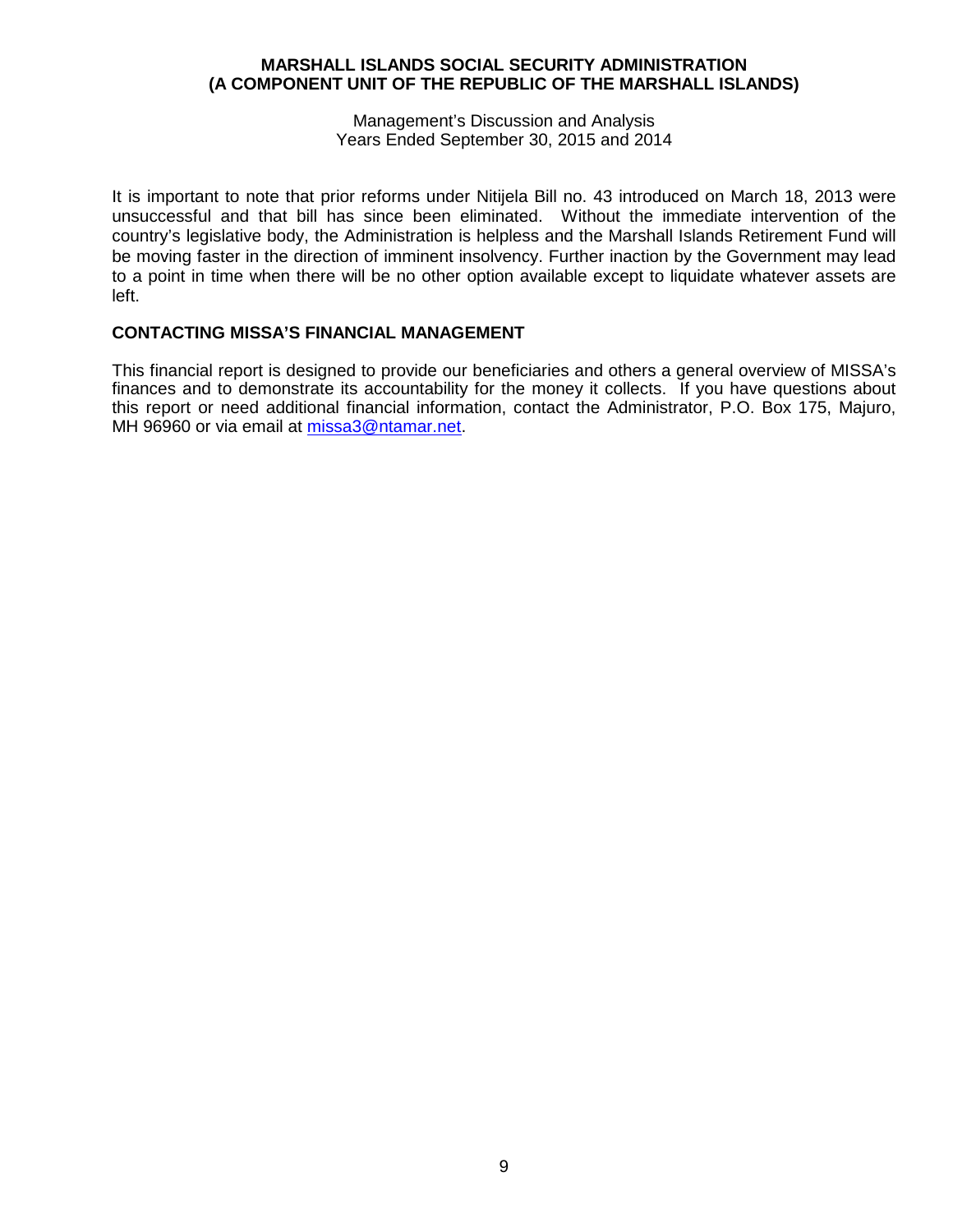Management's Discussion and Analysis Years Ended September 30, 2015 and 2014

It is important to note that prior reforms under Nitijela Bill no. 43 introduced on March 18, 2013 were unsuccessful and that bill has since been eliminated. Without the immediate intervention of the country's legislative body, the Administration is helpless and the Marshall Islands Retirement Fund will be moving faster in the direction of imminent insolvency. Further inaction by the Government may lead to a point in time when there will be no other option available except to liquidate whatever assets are left.

# **CONTACTING MISSA'S FINANCIAL MANAGEMENT**

This financial report is designed to provide our beneficiaries and others a general overview of MISSA's finances and to demonstrate its accountability for the money it collects. If you have questions about this report or need additional financial information, contact the Administrator, P.O. Box 175, Majuro, MH 96960 or via email at [missa3@ntamar.net.](mailto:missa3@ntamar.net)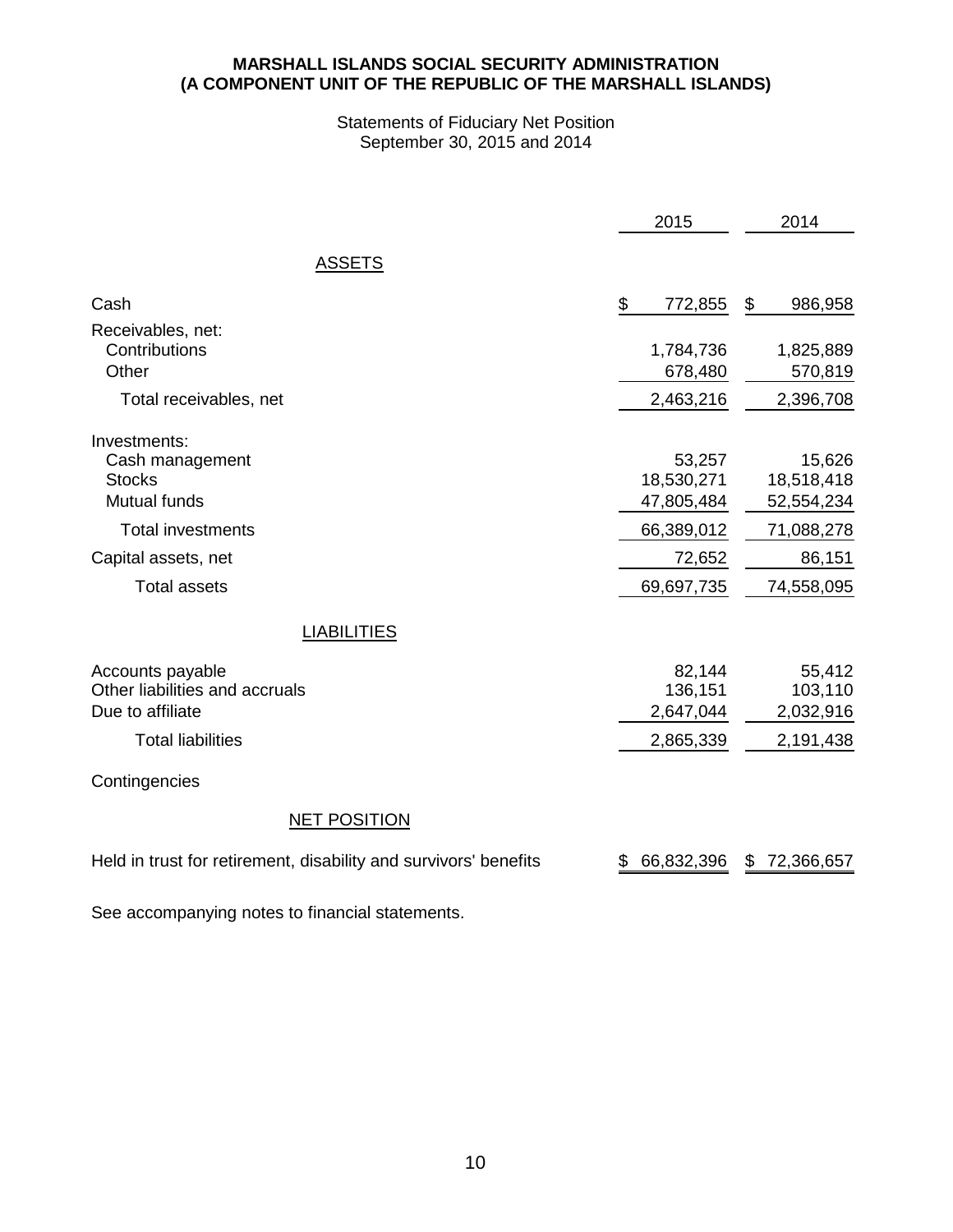# Statements of Fiduciary Net Position September 30, 2015 and 2014

|                                                                                                    | 2015                                             | 2014                                             |
|----------------------------------------------------------------------------------------------------|--------------------------------------------------|--------------------------------------------------|
| <b>ASSETS</b>                                                                                      |                                                  |                                                  |
| Cash                                                                                               | \$<br>772,855                                    | $\mathfrak{F}$<br>986,958                        |
| Receivables, net:<br>Contributions<br>Other                                                        | 1,784,736<br>678,480                             | 1,825,889<br>570,819                             |
| Total receivables, net                                                                             | 2,463,216                                        | 2,396,708                                        |
| Investments:<br>Cash management<br><b>Stocks</b><br>Mutual funds<br><b>Total investments</b>       | 53,257<br>18,530,271<br>47,805,484<br>66,389,012 | 15,626<br>18,518,418<br>52,554,234<br>71,088,278 |
| Capital assets, net                                                                                | 72,652                                           | 86,151                                           |
| <b>Total assets</b>                                                                                | 69,697,735                                       | 74,558,095                                       |
| <b>LIABILITIES</b>                                                                                 |                                                  |                                                  |
| Accounts payable<br>Other liabilities and accruals<br>Due to affiliate<br><b>Total liabilities</b> | 82,144<br>136,151<br>2,647,044<br>2,865,339      | 55,412<br>103,110<br>2,032,916<br>2,191,438      |
| Contingencies                                                                                      |                                                  |                                                  |
| <b>NET POSITION</b>                                                                                |                                                  |                                                  |
| Held in trust for retirement, disability and survivors' benefits                                   | 66,832,396<br>2                                  | 72,366,657<br>\$                                 |

See accompanying notes to financial statements.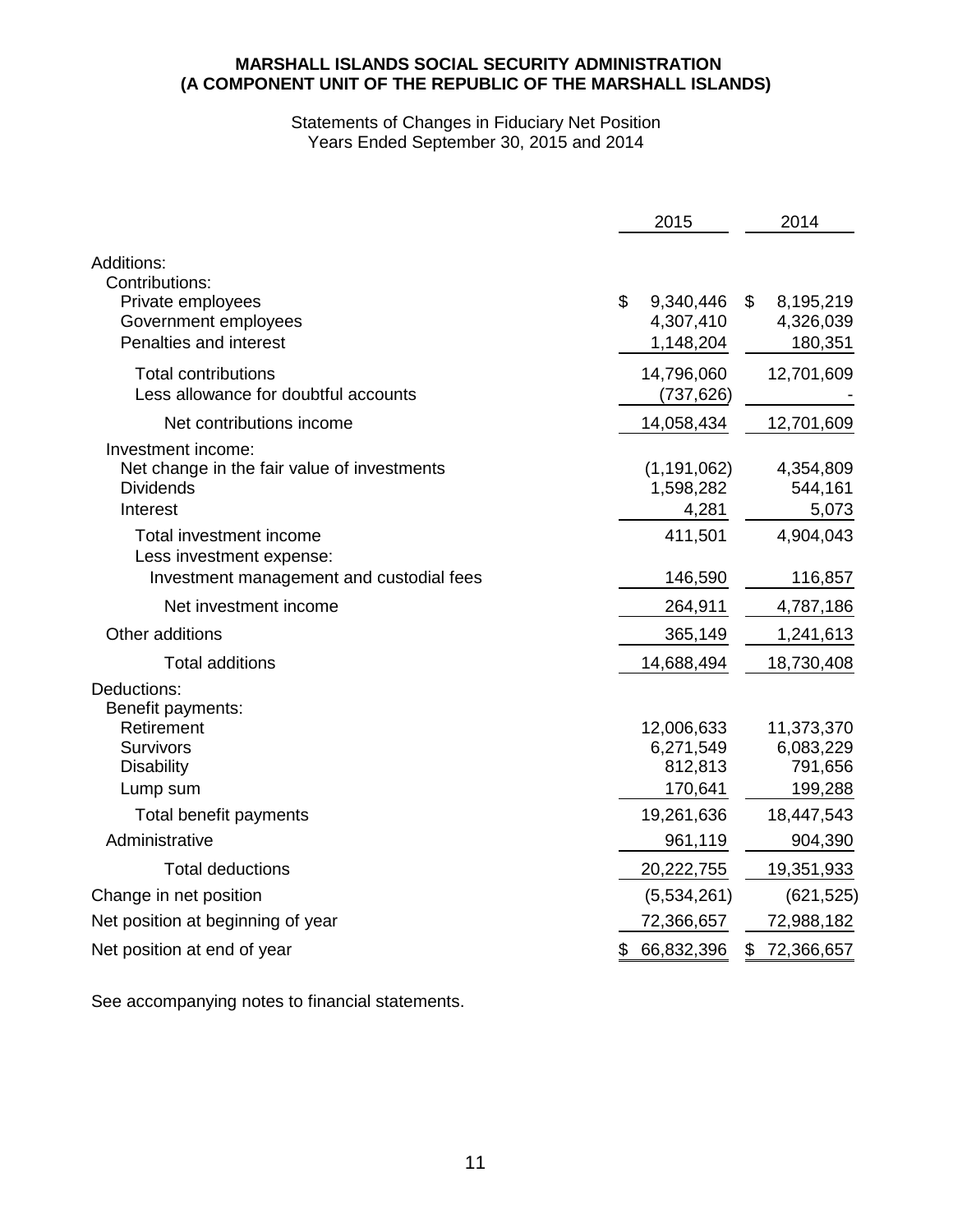# Statements of Changes in Fiduciary Net Position Years Ended September 30, 2015 and 2014

|                                                                                                   | 2015                                          | 2014                                          |
|---------------------------------------------------------------------------------------------------|-----------------------------------------------|-----------------------------------------------|
| Additions:                                                                                        |                                               |                                               |
| Contributions:<br>Private employees<br>Government employees<br>Penalties and interest             | \$<br>9,340,446<br>4,307,410<br>1,148,204     | \$<br>8,195,219<br>4,326,039<br>180,351       |
| <b>Total contributions</b><br>Less allowance for doubtful accounts                                | 14,796,060<br>(737, 626)                      | 12,701,609                                    |
| Net contributions income                                                                          | 14,058,434                                    | 12,701,609                                    |
| Investment income:<br>Net change in the fair value of investments<br><b>Dividends</b><br>Interest | (1, 191, 062)<br>1,598,282<br>4,281           | 4,354,809<br>544,161<br>5,073                 |
| Total investment income<br>Less investment expense:                                               | 411,501                                       | 4,904,043                                     |
| Investment management and custodial fees                                                          | 146,590                                       | 116,857                                       |
| Net investment income                                                                             | 264,911                                       | 4,787,186                                     |
| Other additions                                                                                   | 365,149                                       | 1,241,613                                     |
| <b>Total additions</b>                                                                            | 14,688,494                                    | 18,730,408                                    |
| Deductions:<br>Benefit payments:                                                                  |                                               |                                               |
| Retirement<br>Survivors<br><b>Disability</b><br>Lump sum                                          | 12,006,633<br>6,271,549<br>812,813<br>170,641 | 11,373,370<br>6,083,229<br>791,656<br>199,288 |
| Total benefit payments                                                                            | 19,261,636                                    | 18,447,543                                    |
| Administrative                                                                                    | 961,119                                       | 904,390                                       |
| <b>Total deductions</b>                                                                           | 20,222,755                                    | 19,351,933                                    |
| Change in net position                                                                            | (5,534,261)                                   | (621, 525)                                    |
| Net position at beginning of year                                                                 | 72,366,657                                    | 72,988,182                                    |
| Net position at end of year                                                                       | 66,832,396<br>\$                              | 72,366,657<br>\$                              |

See accompanying notes to financial statements.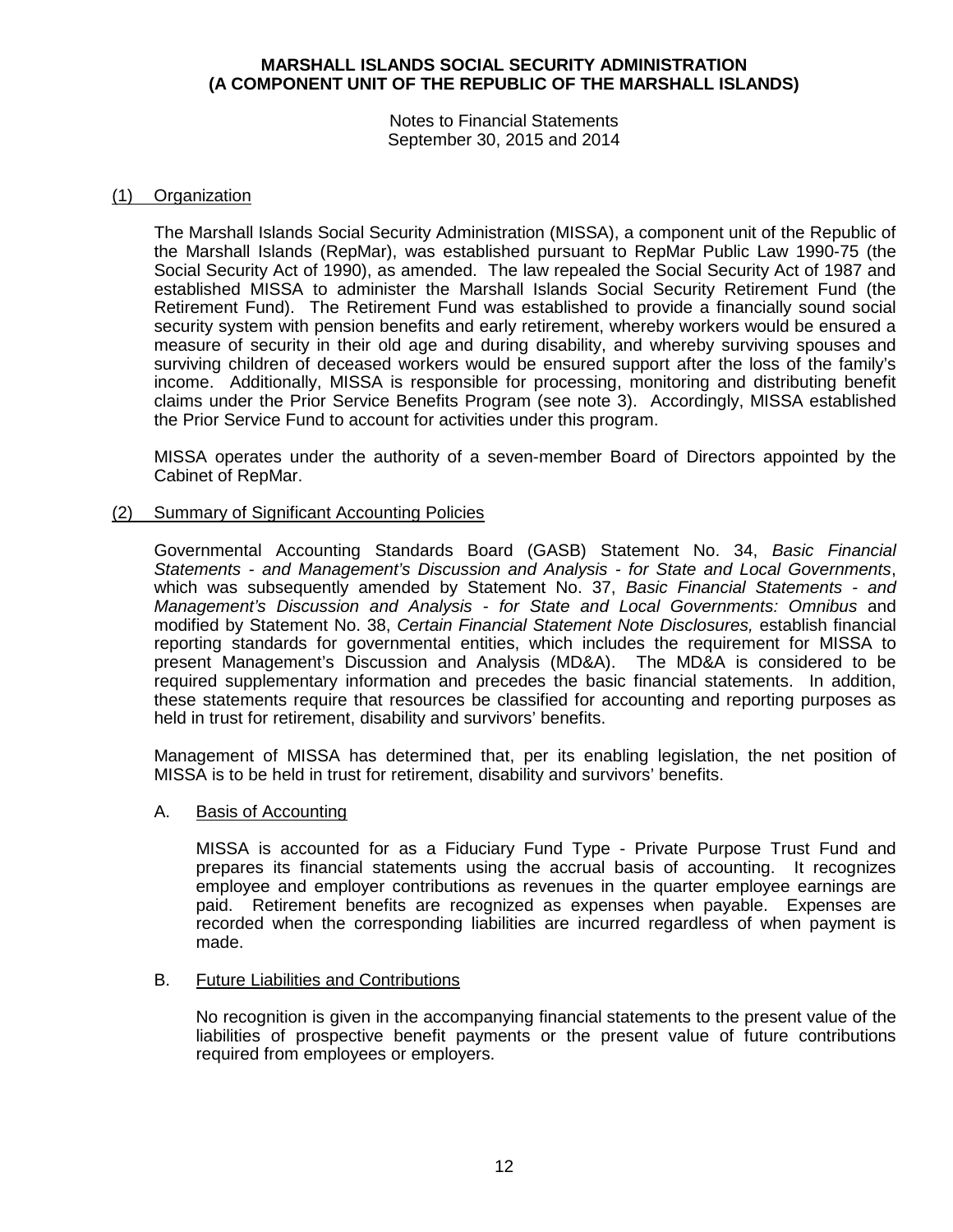Notes to Financial Statements September 30, 2015 and 2014

## (1) Organization

The Marshall Islands Social Security Administration (MISSA), a component unit of the Republic of the Marshall Islands (RepMar), was established pursuant to RepMar Public Law 1990-75 (the Social Security Act of 1990), as amended. The law repealed the Social Security Act of 1987 and established MISSA to administer the Marshall Islands Social Security Retirement Fund (the Retirement Fund). The Retirement Fund was established to provide a financially sound social security system with pension benefits and early retirement, whereby workers would be ensured a measure of security in their old age and during disability, and whereby surviving spouses and surviving children of deceased workers would be ensured support after the loss of the family's income. Additionally, MISSA is responsible for processing, monitoring and distributing benefit claims under the Prior Service Benefits Program (see note 3). Accordingly, MISSA established the Prior Service Fund to account for activities under this program.

MISSA operates under the authority of a seven-member Board of Directors appointed by the Cabinet of RepMar.

# (2) Summary of Significant Accounting Policies

Governmental Accounting Standards Board (GASB) Statement No. 34, *Basic Financial Statements - and Management's Discussion and Analysis - for State and Local Governments*, which was subsequently amended by Statement No. 37, *Basic Financial Statements - and Management's Discussion and Analysis - for State and Local Governments: Omnibus* and modified by Statement No. 38, *Certain Financial Statement Note Disclosures,* establish financial reporting standards for governmental entities, which includes the requirement for MISSA to present Management's Discussion and Analysis (MD&A). The MD&A is considered to be required supplementary information and precedes the basic financial statements. In addition, these statements require that resources be classified for accounting and reporting purposes as held in trust for retirement, disability and survivors' benefits.

Management of MISSA has determined that, per its enabling legislation, the net position of MISSA is to be held in trust for retirement, disability and survivors' benefits.

## A. Basis of Accounting

MISSA is accounted for as a Fiduciary Fund Type - Private Purpose Trust Fund and prepares its financial statements using the accrual basis of accounting. It recognizes employee and employer contributions as revenues in the quarter employee earnings are paid. Retirement benefits are recognized as expenses when payable. Expenses are recorded when the corresponding liabilities are incurred regardless of when payment is made.

## B. Future Liabilities and Contributions

No recognition is given in the accompanying financial statements to the present value of the liabilities of prospective benefit payments or the present value of future contributions required from employees or employers.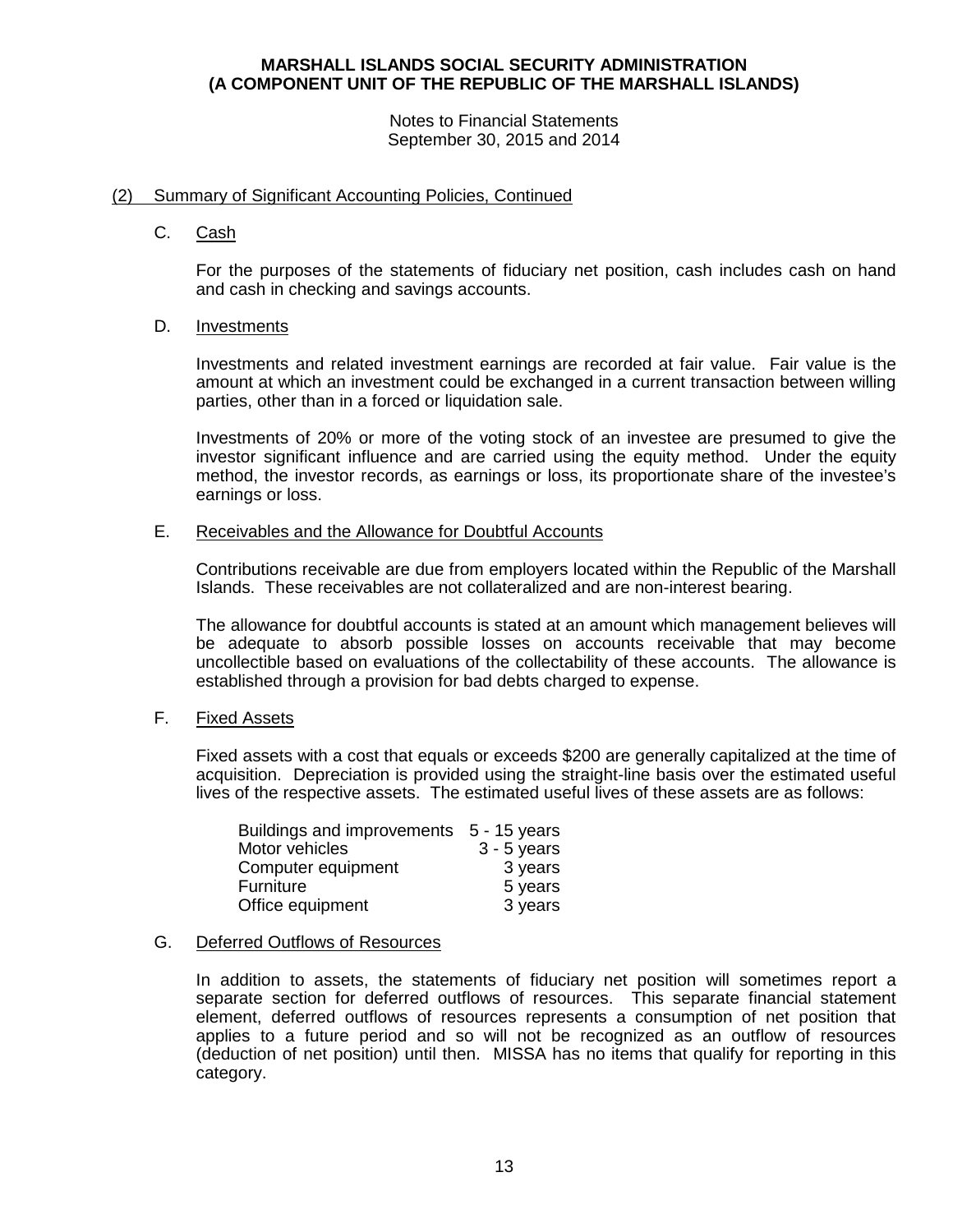Notes to Financial Statements September 30, 2015 and 2014

#### (2) Summary of Significant Accounting Policies, Continued

C. Cash

For the purposes of the statements of fiduciary net position, cash includes cash on hand and cash in checking and savings accounts.

#### D. Investments

Investments and related investment earnings are recorded at fair value. Fair value is the amount at which an investment could be exchanged in a current transaction between willing parties, other than in a forced or liquidation sale.

Investments of 20% or more of the voting stock of an investee are presumed to give the investor significant influence and are carried using the equity method. Under the equity method, the investor records, as earnings or loss, its proportionate share of the investee's earnings or loss.

## E. Receivables and the Allowance for Doubtful Accounts

Contributions receivable are due from employers located within the Republic of the Marshall Islands. These receivables are not collateralized and are non-interest bearing.

The allowance for doubtful accounts is stated at an amount which management believes will be adequate to absorb possible losses on accounts receivable that may become uncollectible based on evaluations of the collectability of these accounts. The allowance is established through a provision for bad debts charged to expense.

F. Fixed Assets

Fixed assets with a cost that equals or exceeds \$200 are generally capitalized at the time of acquisition. Depreciation is provided using the straight-line basis over the estimated useful lives of the respective assets. The estimated useful lives of these assets are as follows:

| Buildings and improvements 5 - 15 years |               |
|-----------------------------------------|---------------|
| Motor vehicles                          | $3 - 5$ years |
| Computer equipment                      | 3 years       |
| <b>Furniture</b>                        | 5 years       |
| Office equipment                        | 3 years       |

## G. Deferred Outflows of Resources

In addition to assets, the statements of fiduciary net position will sometimes report a separate section for deferred outflows of resources. This separate financial statement element, deferred outflows of resources represents a consumption of net position that applies to a future period and so will not be recognized as an outflow of resources (deduction of net position) until then. MISSA has no items that qualify for reporting in this category.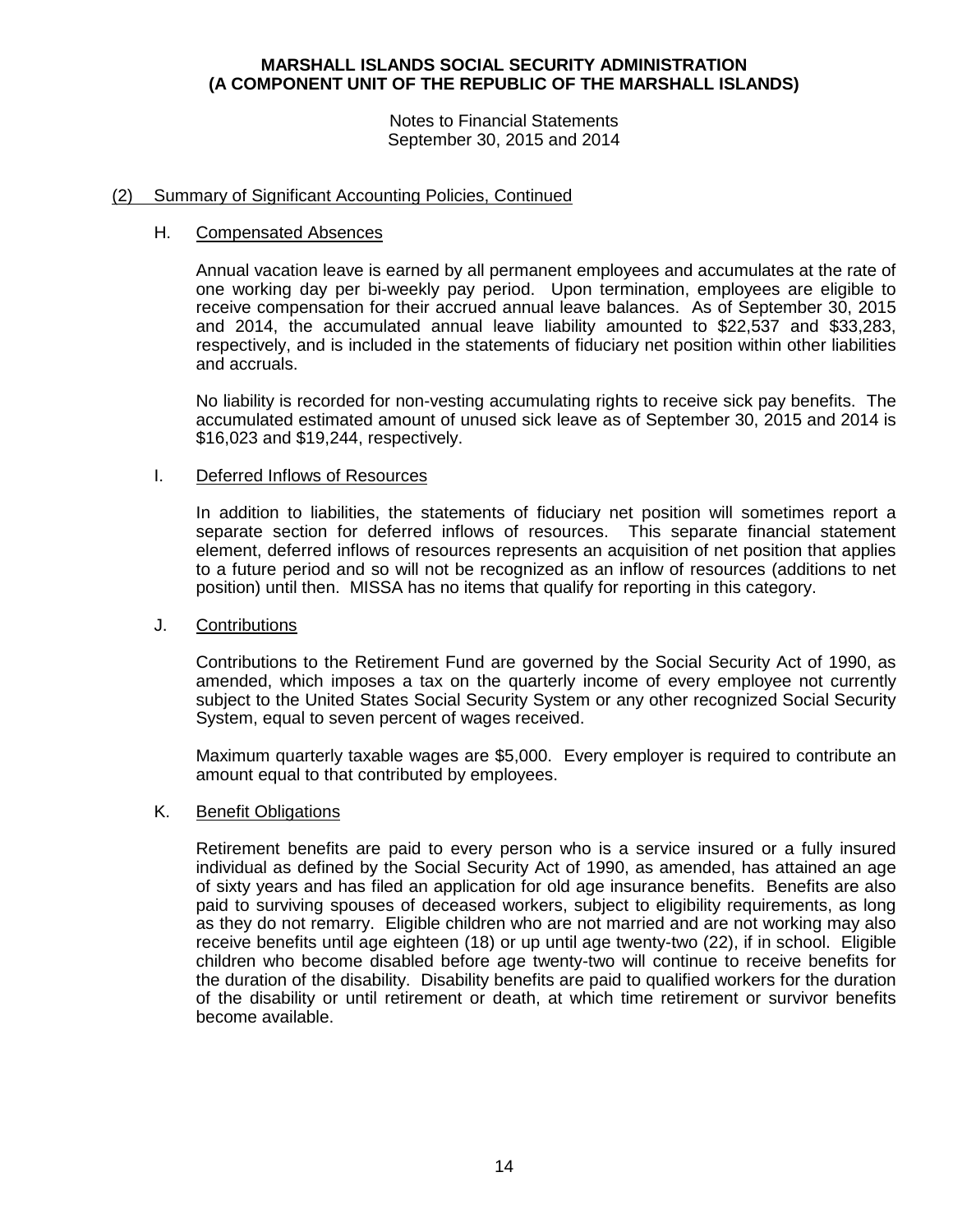Notes to Financial Statements September 30, 2015 and 2014

## (2) Summary of Significant Accounting Policies, Continued

## H. Compensated Absences

Annual vacation leave is earned by all permanent employees and accumulates at the rate of one working day per bi-weekly pay period. Upon termination, employees are eligible to receive compensation for their accrued annual leave balances. As of September 30, 2015 and 2014, the accumulated annual leave liability amounted to \$22,537 and \$33,283, respectively, and is included in the statements of fiduciary net position within other liabilities and accruals.

No liability is recorded for non-vesting accumulating rights to receive sick pay benefits. The accumulated estimated amount of unused sick leave as of September 30, 2015 and 2014 is \$16,023 and \$19,244, respectively.

# I. Deferred Inflows of Resources

In addition to liabilities, the statements of fiduciary net position will sometimes report a separate section for deferred inflows of resources. This separate financial statement element, deferred inflows of resources represents an acquisition of net position that applies to a future period and so will not be recognized as an inflow of resources (additions to net position) until then. MISSA has no items that qualify for reporting in this category.

## J. Contributions

Contributions to the Retirement Fund are governed by the Social Security Act of 1990, as amended, which imposes a tax on the quarterly income of every employee not currently subject to the United States Social Security System or any other recognized Social Security System, equal to seven percent of wages received.

Maximum quarterly taxable wages are \$5,000. Every employer is required to contribute an amount equal to that contributed by employees.

## K. Benefit Obligations

Retirement benefits are paid to every person who is a service insured or a fully insured individual as defined by the Social Security Act of 1990, as amended, has attained an age of sixty years and has filed an application for old age insurance benefits. Benefits are also paid to surviving spouses of deceased workers, subject to eligibility requirements, as long as they do not remarry. Eligible children who are not married and are not working may also receive benefits until age eighteen (18) or up until age twenty-two (22), if in school. Eligible children who become disabled before age twenty-two will continue to receive benefits for the duration of the disability. Disability benefits are paid to qualified workers for the duration of the disability or until retirement or death, at which time retirement or survivor benefits become available.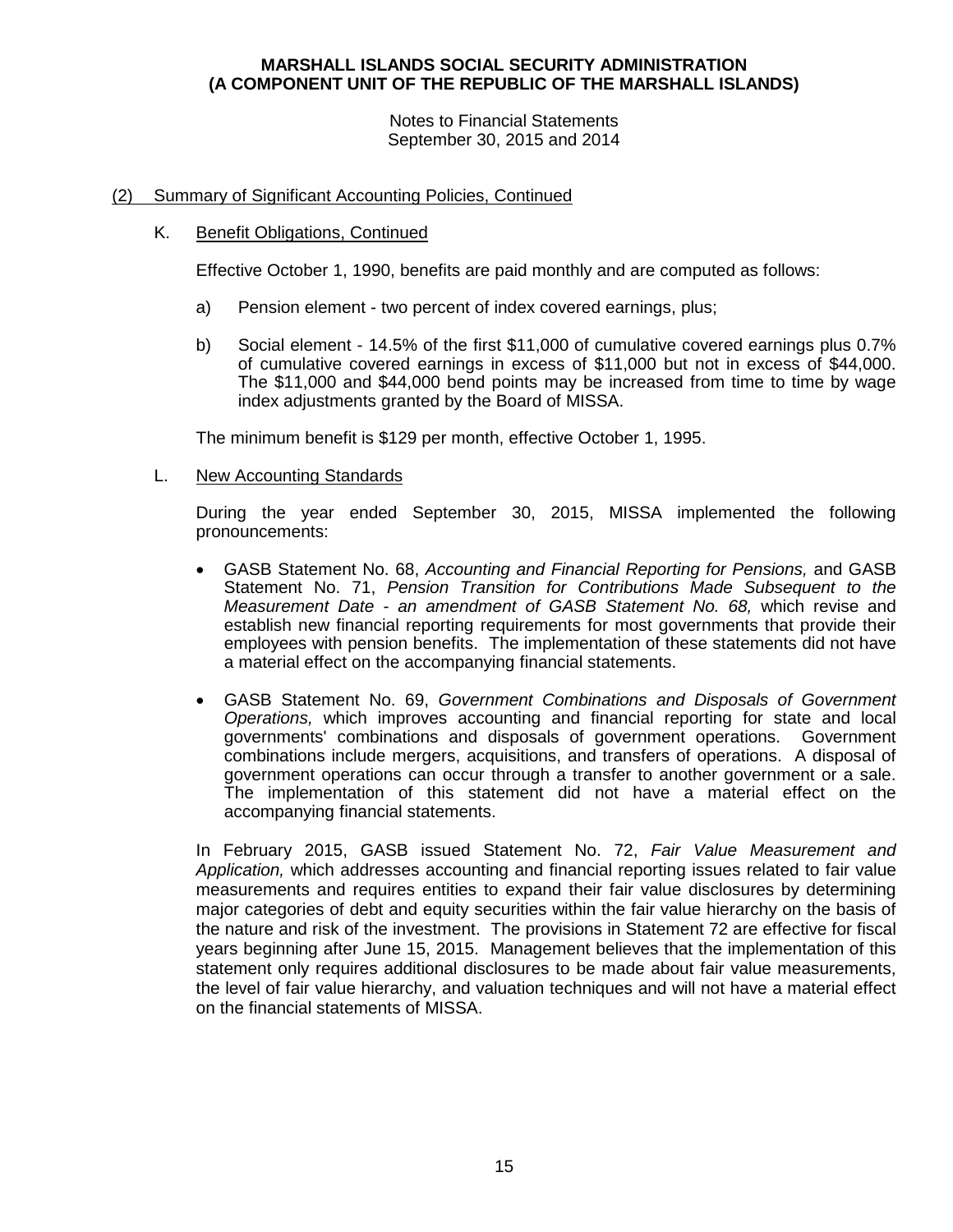Notes to Financial Statements September 30, 2015 and 2014

## (2) Summary of Significant Accounting Policies, Continued

K. Benefit Obligations, Continued

Effective October 1, 1990, benefits are paid monthly and are computed as follows:

- a) Pension element two percent of index covered earnings, plus;
- b) Social element 14.5% of the first \$11,000 of cumulative covered earnings plus 0.7% of cumulative covered earnings in excess of \$11,000 but not in excess of \$44,000. The \$11,000 and \$44,000 bend points may be increased from time to time by wage index adjustments granted by the Board of MISSA.

The minimum benefit is \$129 per month, effective October 1, 1995.

# L. New Accounting Standards

During the year ended September 30, 2015, MISSA implemented the following pronouncements:

- GASB Statement No. 68, *Accounting and Financial Reporting for Pensions,* and GASB Statement No. 71, *Pension Transition for Contributions Made Subsequent to the Measurement Date - an amendment of GASB Statement No. 68,* which revise and establish new financial reporting requirements for most governments that provide their employees with pension benefits. The implementation of these statements did not have a material effect on the accompanying financial statements.
- GASB Statement No. 69, *Government Combinations and Disposals of Government Operations,* which improves accounting and financial reporting for state and local governments' combinations and disposals of government operations. Government combinations include mergers, acquisitions, and transfers of operations. A disposal of government operations can occur through a transfer to another government or a sale. The implementation of this statement did not have a material effect on the accompanying financial statements.

In February 2015, GASB issued Statement No. 72, *Fair Value Measurement and Application,* which addresses accounting and financial reporting issues related to fair value measurements and requires entities to expand their fair value disclosures by determining major categories of debt and equity securities within the fair value hierarchy on the basis of the nature and risk of the investment. The provisions in Statement 72 are effective for fiscal years beginning after June 15, 2015. Management believes that the implementation of this statement only requires additional disclosures to be made about fair value measurements, the level of fair value hierarchy, and valuation techniques and will not have a material effect on the financial statements of MISSA.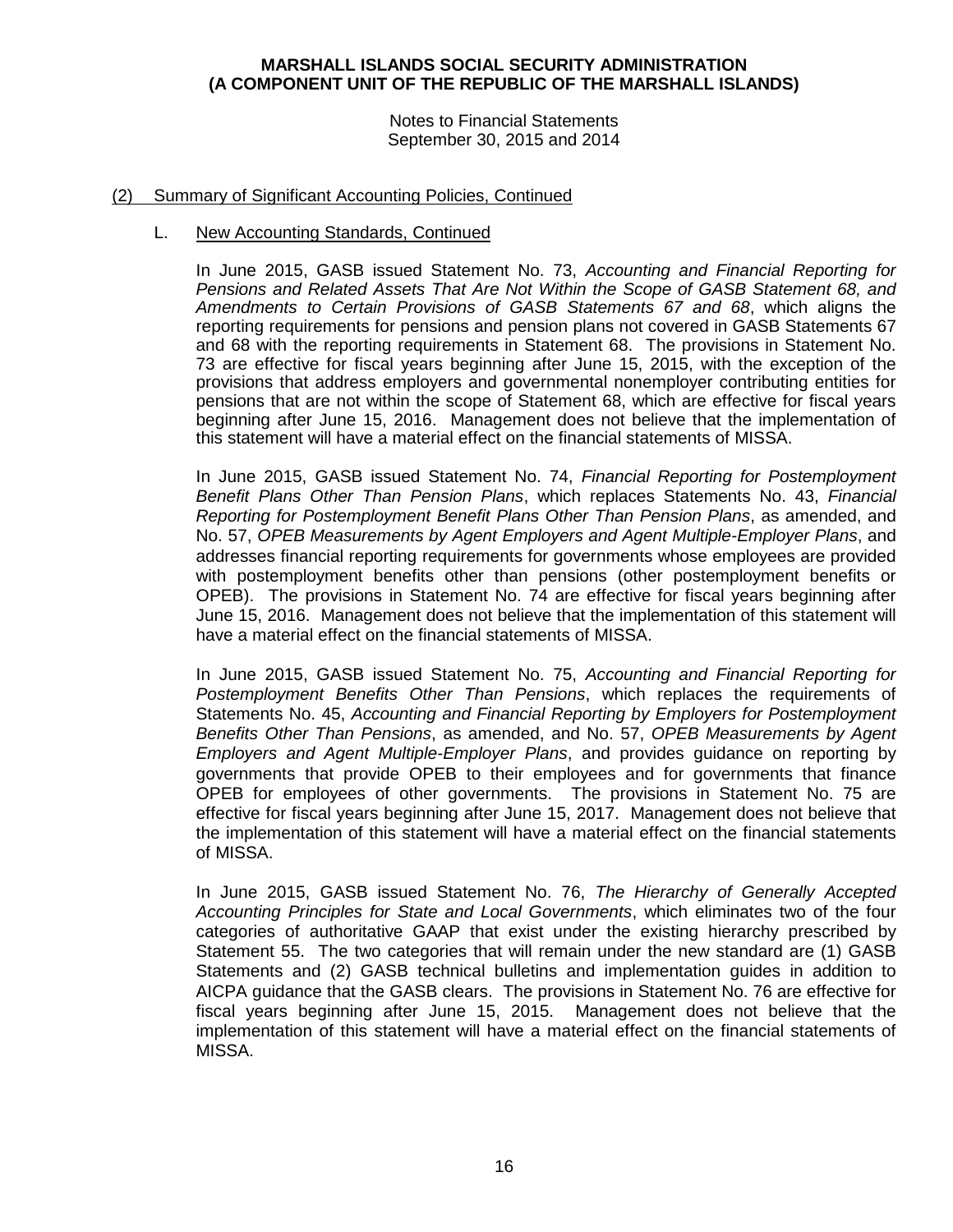Notes to Financial Statements September 30, 2015 and 2014

## (2) Summary of Significant Accounting Policies, Continued

#### L. New Accounting Standards, Continued

In June 2015, GASB issued Statement No. 73, *Accounting and Financial Reporting for Pensions and Related Assets That Are Not Within the Scope of GASB Statement 68, and Amendments to Certain Provisions of GASB Statements 67 and 68*, which aligns the reporting requirements for pensions and pension plans not covered in GASB Statements 67 and 68 with the reporting requirements in Statement 68. The provisions in Statement No. 73 are effective for fiscal years beginning after June 15, 2015, with the exception of the provisions that address employers and governmental nonemployer contributing entities for pensions that are not within the scope of Statement 68, which are effective for fiscal years beginning after June 15, 2016. Management does not believe that the implementation of this statement will have a material effect on the financial statements of MISSA.

In June 2015, GASB issued Statement No. 74, *Financial Reporting for Postemployment Benefit Plans Other Than Pension Plans*, which replaces Statements No. 43, *Financial Reporting for Postemployment Benefit Plans Other Than Pension Plans*, as amended, and No. 57, *OPEB Measurements by Agent Employers and Agent Multiple-Employer Plans*, and addresses financial reporting requirements for governments whose employees are provided with postemployment benefits other than pensions (other postemployment benefits or OPEB). The provisions in Statement No. 74 are effective for fiscal years beginning after June 15, 2016. Management does not believe that the implementation of this statement will have a material effect on the financial statements of MISSA.

In June 2015, GASB issued Statement No. 75, *Accounting and Financial Reporting for Postemployment Benefits Other Than Pensions*, which replaces the requirements of Statements No. 45, *Accounting and Financial Reporting by Employers for Postemployment Benefits Other Than Pensions*, as amended, and No. 57, *OPEB Measurements by Agent Employers and Agent Multiple-Employer Plans*, and provides guidance on reporting by governments that provide OPEB to their employees and for governments that finance OPEB for employees of other governments. The provisions in Statement No. 75 are effective for fiscal years beginning after June 15, 2017. Management does not believe that the implementation of this statement will have a material effect on the financial statements of MISSA.

In June 2015, GASB issued Statement No. 76, *The Hierarchy of Generally Accepted Accounting Principles for State and Local Governments*, which eliminates two of the four categories of authoritative GAAP that exist under the existing hierarchy prescribed by Statement 55. The two categories that will remain under the new standard are (1) GASB Statements and (2) GASB technical bulletins and implementation guides in addition to AICPA guidance that the GASB clears. The provisions in Statement No. 76 are effective for fiscal years beginning after June 15, 2015. Management does not believe that the implementation of this statement will have a material effect on the financial statements of MISSA.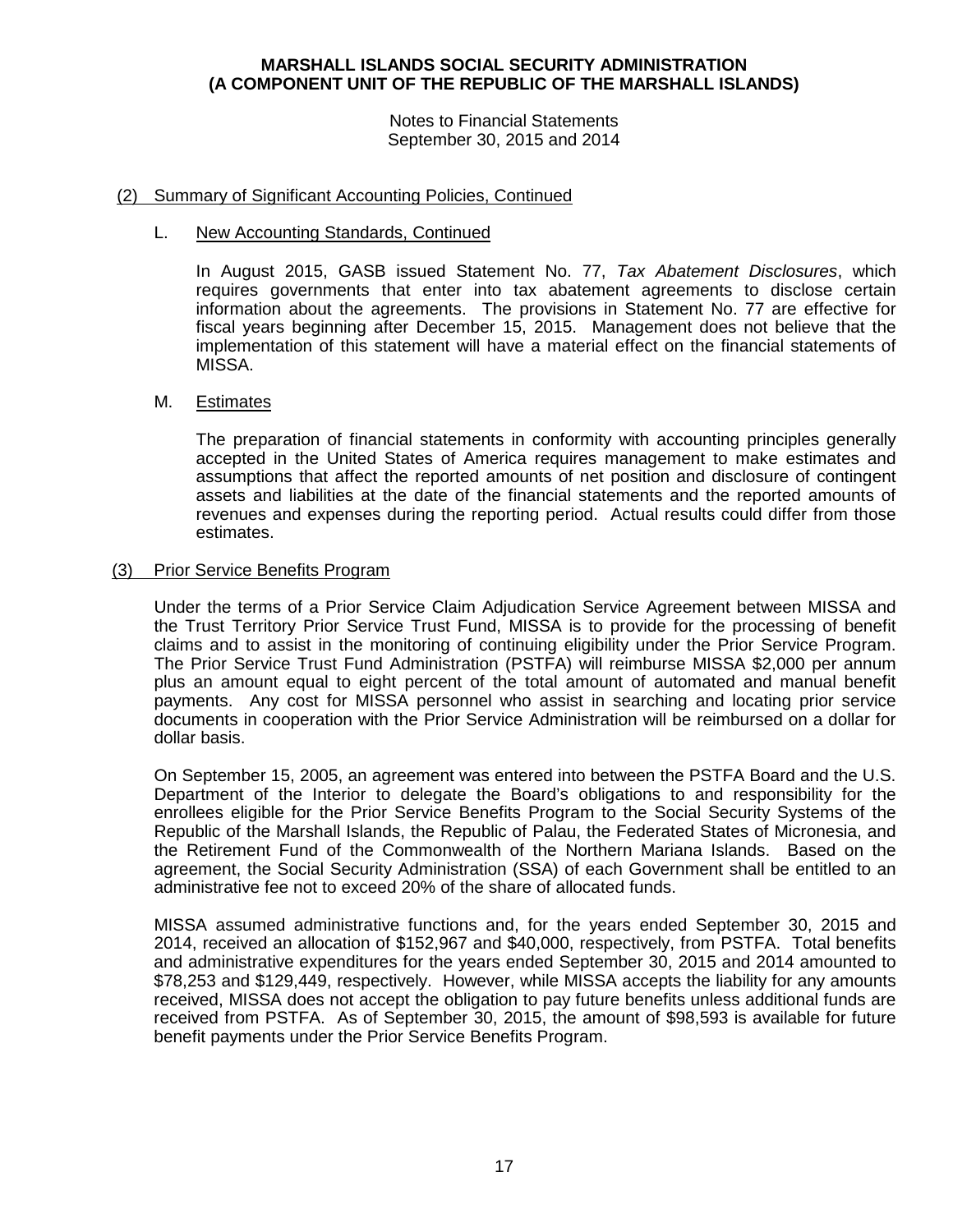Notes to Financial Statements September 30, 2015 and 2014

## (2) Summary of Significant Accounting Policies, Continued

#### L. New Accounting Standards, Continued

In August 2015, GASB issued Statement No. 77, *Tax Abatement Disclosures*, which requires governments that enter into tax abatement agreements to disclose certain information about the agreements. The provisions in Statement No. 77 are effective for fiscal years beginning after December 15, 2015. Management does not believe that the implementation of this statement will have a material effect on the financial statements of MISSA.

#### M. Estimates

The preparation of financial statements in conformity with accounting principles generally accepted in the United States of America requires management to make estimates and assumptions that affect the reported amounts of net position and disclosure of contingent assets and liabilities at the date of the financial statements and the reported amounts of revenues and expenses during the reporting period. Actual results could differ from those estimates.

## (3) Prior Service Benefits Program

Under the terms of a Prior Service Claim Adjudication Service Agreement between MISSA and the Trust Territory Prior Service Trust Fund, MISSA is to provide for the processing of benefit claims and to assist in the monitoring of continuing eligibility under the Prior Service Program. The Prior Service Trust Fund Administration (PSTFA) will reimburse MISSA \$2,000 per annum plus an amount equal to eight percent of the total amount of automated and manual benefit payments. Any cost for MISSA personnel who assist in searching and locating prior service documents in cooperation with the Prior Service Administration will be reimbursed on a dollar for dollar basis.

On September 15, 2005, an agreement was entered into between the PSTFA Board and the U.S. Department of the Interior to delegate the Board's obligations to and responsibility for the enrollees eligible for the Prior Service Benefits Program to the Social Security Systems of the Republic of the Marshall Islands, the Republic of Palau, the Federated States of Micronesia, and the Retirement Fund of the Commonwealth of the Northern Mariana Islands. Based on the agreement, the Social Security Administration (SSA) of each Government shall be entitled to an administrative fee not to exceed 20% of the share of allocated funds.

MISSA assumed administrative functions and, for the years ended September 30, 2015 and 2014, received an allocation of \$152,967 and \$40,000, respectively, from PSTFA. Total benefits and administrative expenditures for the years ended September 30, 2015 and 2014 amounted to \$78,253 and \$129,449, respectively. However, while MISSA accepts the liability for any amounts received, MISSA does not accept the obligation to pay future benefits unless additional funds are received from PSTFA. As of September 30, 2015, the amount of \$98,593 is available for future benefit payments under the Prior Service Benefits Program.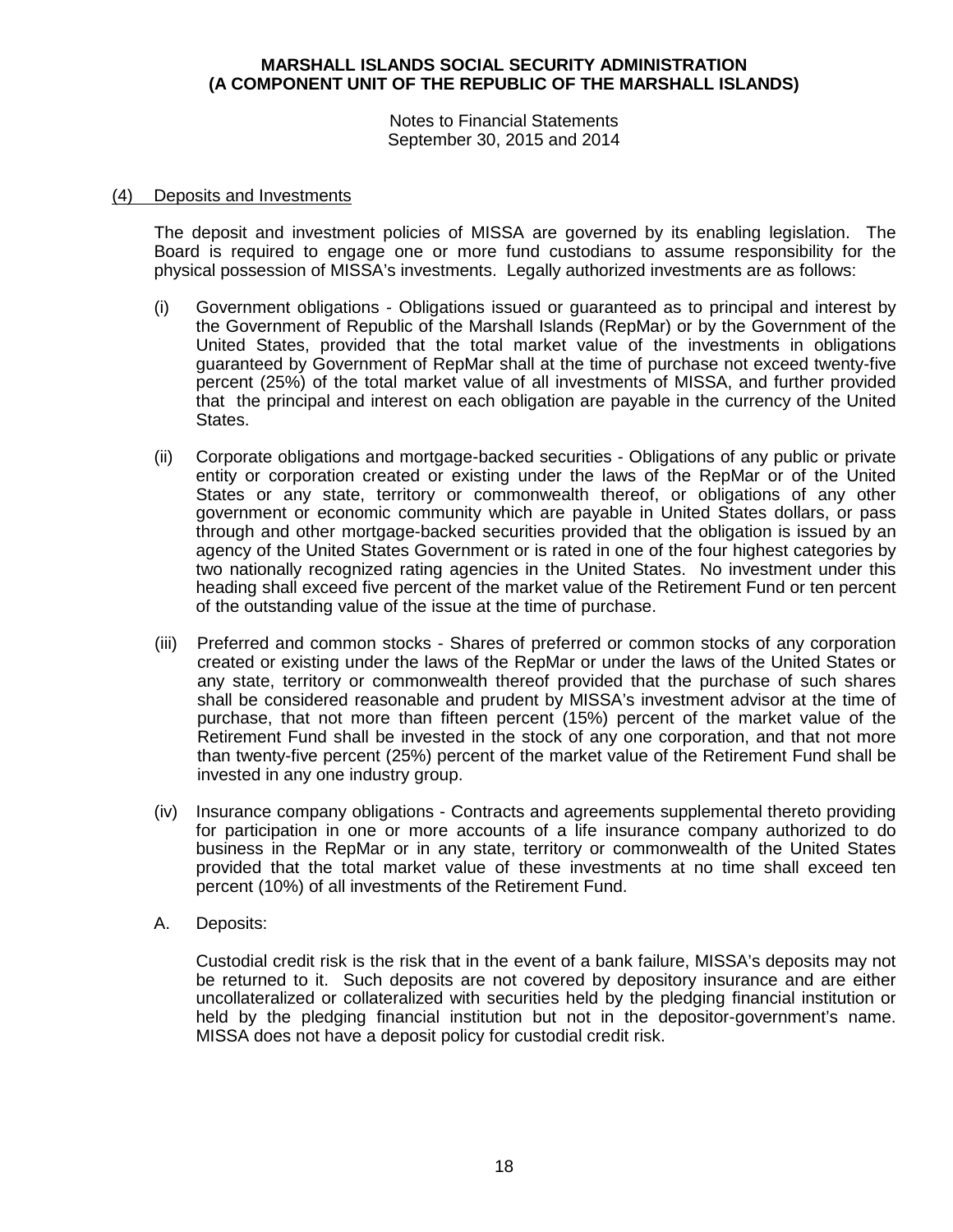Notes to Financial Statements September 30, 2015 and 2014

#### (4) Deposits and Investments

The deposit and investment policies of MISSA are governed by its enabling legislation. The Board is required to engage one or more fund custodians to assume responsibility for the physical possession of MISSA's investments. Legally authorized investments are as follows:

- (i) Government obligations Obligations issued or guaranteed as to principal and interest by the Government of Republic of the Marshall Islands (RepMar) or by the Government of the United States, provided that the total market value of the investments in obligations guaranteed by Government of RepMar shall at the time of purchase not exceed twenty-five percent (25%) of the total market value of all investments of MISSA, and further provided that the principal and interest on each obligation are payable in the currency of the United States.
- (ii) Corporate obligations and mortgage-backed securities Obligations of any public or private entity or corporation created or existing under the laws of the RepMar or of the United States or any state, territory or commonwealth thereof, or obligations of any other government or economic community which are payable in United States dollars, or pass through and other mortgage-backed securities provided that the obligation is issued by an agency of the United States Government or is rated in one of the four highest categories by two nationally recognized rating agencies in the United States. No investment under this heading shall exceed five percent of the market value of the Retirement Fund or ten percent of the outstanding value of the issue at the time of purchase.
- (iii) Preferred and common stocks Shares of preferred or common stocks of any corporation created or existing under the laws of the RepMar or under the laws of the United States or any state, territory or commonwealth thereof provided that the purchase of such shares shall be considered reasonable and prudent by MISSA's investment advisor at the time of purchase, that not more than fifteen percent (15%) percent of the market value of the Retirement Fund shall be invested in the stock of any one corporation, and that not more than twenty-five percent (25%) percent of the market value of the Retirement Fund shall be invested in any one industry group.
- (iv) Insurance company obligations Contracts and agreements supplemental thereto providing for participation in one or more accounts of a life insurance company authorized to do business in the RepMar or in any state, territory or commonwealth of the United States provided that the total market value of these investments at no time shall exceed ten percent (10%) of all investments of the Retirement Fund.
- A. Deposits:

Custodial credit risk is the risk that in the event of a bank failure, MISSA's deposits may not be returned to it. Such deposits are not covered by depository insurance and are either uncollateralized or collateralized with securities held by the pledging financial institution or held by the pledging financial institution but not in the depositor-government's name. MISSA does not have a deposit policy for custodial credit risk.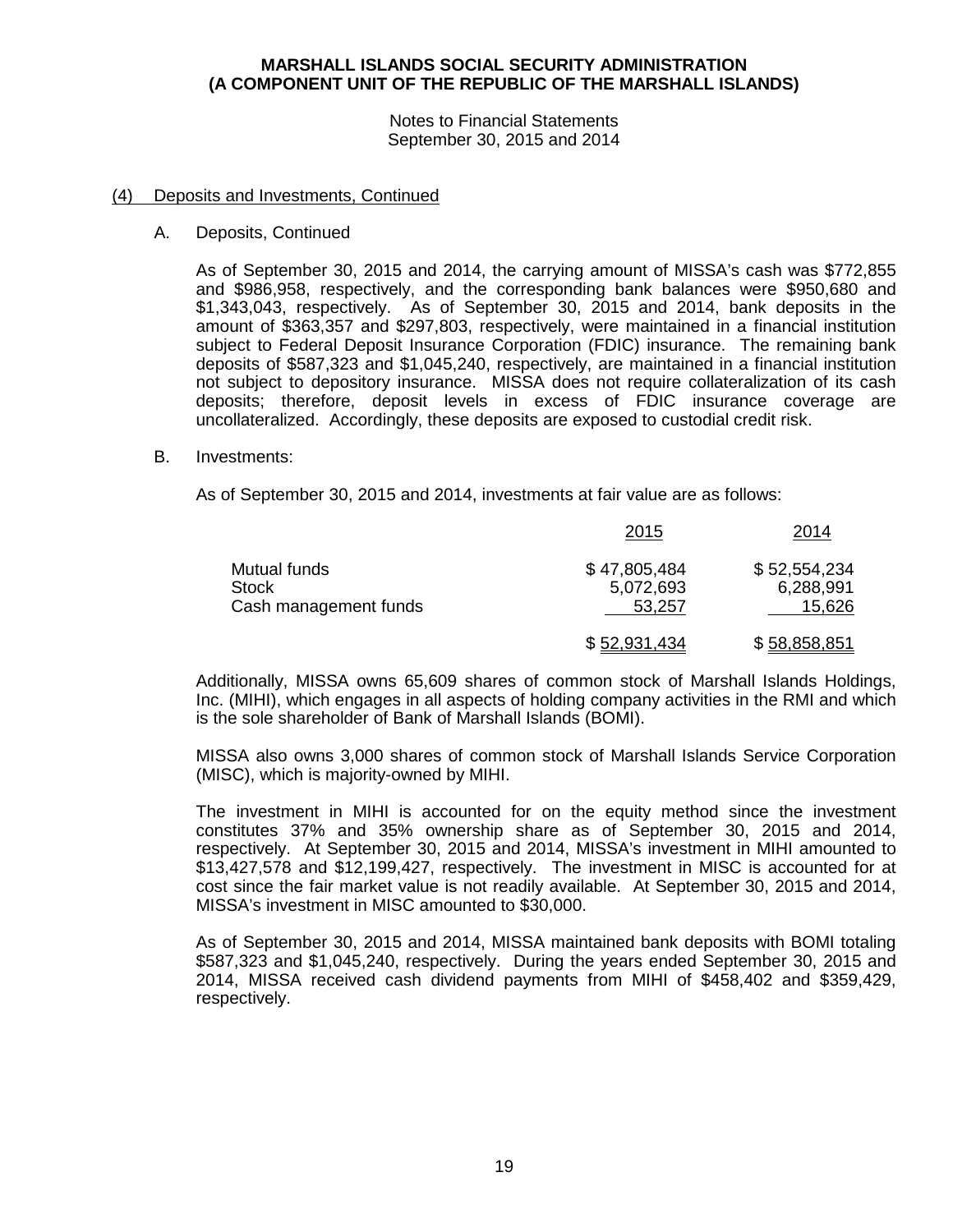Notes to Financial Statements September 30, 2015 and 2014

#### (4) Deposits and Investments, Continued

A. Deposits, Continued

As of September 30, 2015 and 2014, the carrying amount of MISSA's cash was \$772,855 and \$986,958, respectively, and the corresponding bank balances were \$950,680 and \$1,343,043, respectively. As of September 30, 2015 and 2014, bank deposits in the amount of \$363,357 and \$297,803, respectively, were maintained in a financial institution subject to Federal Deposit Insurance Corporation (FDIC) insurance. The remaining bank deposits of \$587,323 and \$1,045,240, respectively, are maintained in a financial institution not subject to depository insurance. MISSA does not require collateralization of its cash deposits; therefore, deposit levels in excess of FDIC insurance coverage are uncollateralized. Accordingly, these deposits are exposed to custodial credit risk.

B. Investments:

As of September 30, 2015 and 2014, investments at fair value are as follows:

|                       | 2015         | 2014         |
|-----------------------|--------------|--------------|
| Mutual funds          | \$47,805,484 | \$52,554,234 |
| Stock                 | 5,072,693    | 6,288,991    |
| Cash management funds | 53.257       | 15,626       |
|                       | \$52,931,434 | \$58,858,851 |

Additionally, MISSA owns 65,609 shares of common stock of Marshall Islands Holdings, Inc. (MIHI), which engages in all aspects of holding company activities in the RMI and which is the sole shareholder of Bank of Marshall Islands (BOMI).

MISSA also owns 3,000 shares of common stock of Marshall Islands Service Corporation (MISC), which is majority-owned by MIHI.

The investment in MIHI is accounted for on the equity method since the investment constitutes 37% and 35% ownership share as of September 30, 2015 and 2014, respectively. At September 30, 2015 and 2014, MISSA's investment in MIHI amounted to \$13,427,578 and \$12,199,427, respectively. The investment in MISC is accounted for at cost since the fair market value is not readily available. At September 30, 2015 and 2014, MISSA's investment in MISC amounted to \$30,000.

As of September 30, 2015 and 2014, MISSA maintained bank deposits with BOMI totaling \$587,323 and \$1,045,240, respectively. During the years ended September 30, 2015 and 2014, MISSA received cash dividend payments from MIHI of \$458,402 and \$359,429, respectively.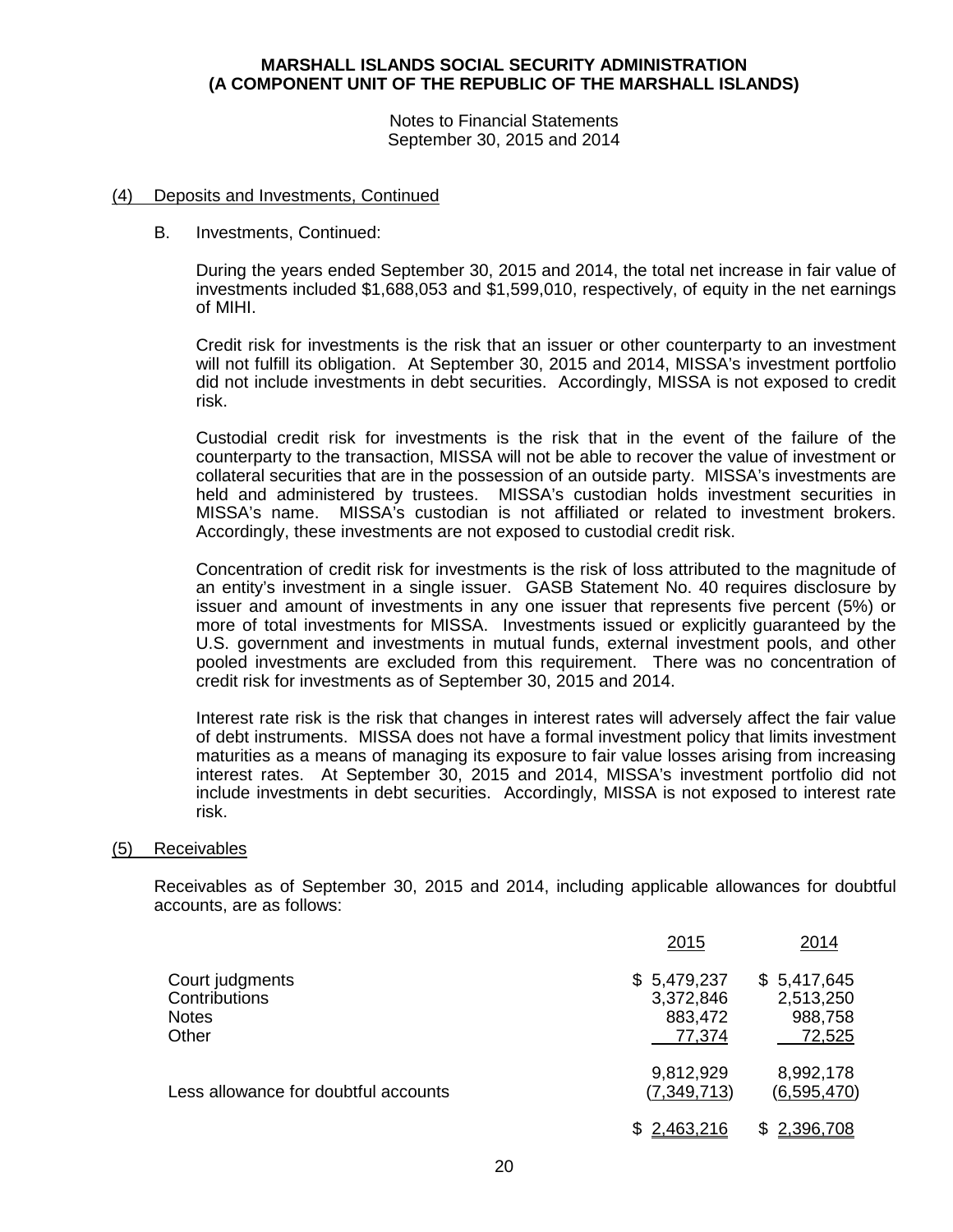Notes to Financial Statements September 30, 2015 and 2014

#### (4) Deposits and Investments, Continued

B. Investments, Continued:

During the years ended September 30, 2015 and 2014, the total net increase in fair value of investments included \$1,688,053 and \$1,599,010, respectively, of equity in the net earnings of MIHI.

Credit risk for investments is the risk that an issuer or other counterparty to an investment will not fulfill its obligation. At September 30, 2015 and 2014, MISSA's investment portfolio did not include investments in debt securities. Accordingly, MISSA is not exposed to credit risk.

Custodial credit risk for investments is the risk that in the event of the failure of the counterparty to the transaction, MISSA will not be able to recover the value of investment or collateral securities that are in the possession of an outside party. MISSA's investments are held and administered by trustees. MISSA's custodian holds investment securities in MISSA's name. MISSA's custodian is not affiliated or related to investment brokers. Accordingly, these investments are not exposed to custodial credit risk.

Concentration of credit risk for investments is the risk of loss attributed to the magnitude of an entity's investment in a single issuer. GASB Statement No. 40 requires disclosure by issuer and amount of investments in any one issuer that represents five percent (5%) or more of total investments for MISSA. Investments issued or explicitly guaranteed by the U.S. government and investments in mutual funds, external investment pools, and other pooled investments are excluded from this requirement. There was no concentration of credit risk for investments as of September 30, 2015 and 2014.

Interest rate risk is the risk that changes in interest rates will adversely affect the fair value of debt instruments. MISSA does not have a formal investment policy that limits investment maturities as a means of managing its exposure to fair value losses arising from increasing interest rates. At September 30, 2015 and 2014, MISSA's investment portfolio did not include investments in debt securities. Accordingly, MISSA is not exposed to interest rate risk.

#### (5) Receivables

Receivables as of September 30, 2015 and 2014, including applicable allowances for doubtful accounts, are as follows:

|                                                           | 2015                                          | 2014                                          |
|-----------------------------------------------------------|-----------------------------------------------|-----------------------------------------------|
| Court judgments<br>Contributions<br><b>Notes</b><br>Other | \$5,479,237<br>3,372,846<br>883,472<br>77,374 | \$5,417,645<br>2,513,250<br>988,758<br>72,525 |
| Less allowance for doubtful accounts                      | 9,812,929<br>(7,349,713)                      | 8,992,178<br>(6, 595, 470)                    |
|                                                           | 2,463,216                                     | 2,396,708                                     |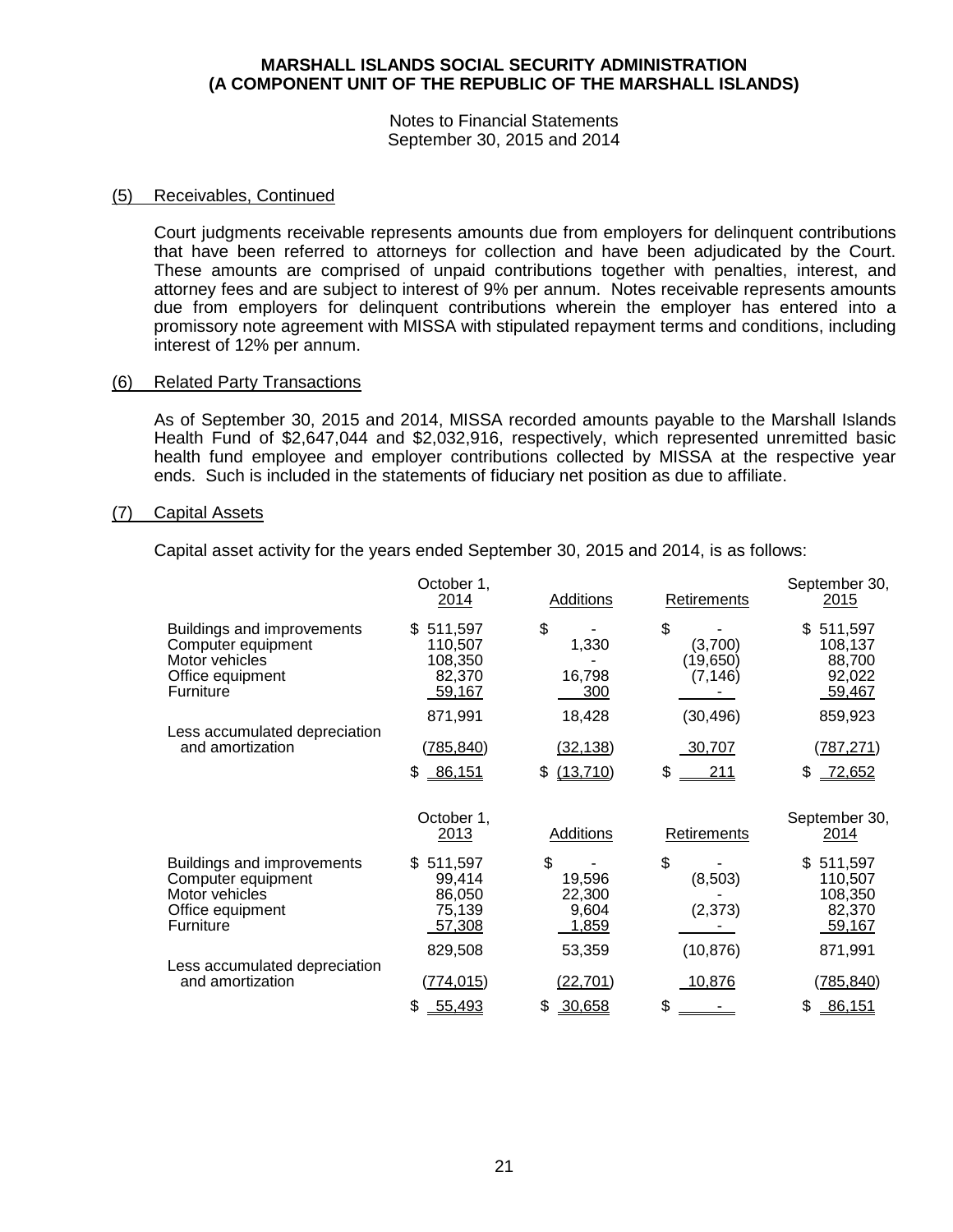Notes to Financial Statements September 30, 2015 and 2014

#### (5) Receivables, Continued

Court judgments receivable represents amounts due from employers for delinquent contributions that have been referred to attorneys for collection and have been adjudicated by the Court. These amounts are comprised of unpaid contributions together with penalties, interest, and attorney fees and are subject to interest of 9% per annum. Notes receivable represents amounts due from employers for delinquent contributions wherein the employer has entered into a promissory note agreement with MISSA with stipulated repayment terms and conditions, including interest of 12% per annum.

#### (6) Related Party Transactions

As of September 30, 2015 and 2014, MISSA recorded amounts payable to the Marshall Islands Health Fund of \$2,647,044 and \$2,032,916, respectively, which represented unremitted basic health fund employee and employer contributions collected by MISSA at the respective year ends. Such is included in the statements of fiduciary net position as due to affiliate.

#### (7) Capital Assets

Capital asset activity for the years ended September 30, 2015 and 2014, is as follows:

|                                                                                                     | October 1,<br>2014                                  | Additions                                | Retirements                           | September 30,<br>2015                               |
|-----------------------------------------------------------------------------------------------------|-----------------------------------------------------|------------------------------------------|---------------------------------------|-----------------------------------------------------|
| Buildings and improvements<br>Computer equipment<br>Motor vehicles<br>Office equipment<br>Furniture | \$511,597<br>110,507<br>108,350<br>82,370<br>59,167 | \$<br>1,330<br>16,798<br>300             | \$<br>(3,700)<br>(19,650)<br>(7, 146) | \$511,597<br>108,137<br>88,700<br>92,022<br>59,467  |
| Less accumulated depreciation                                                                       | 871,991                                             | 18,428                                   | (30, 496)                             | 859,923                                             |
| and amortization                                                                                    | (785, 840)                                          | (32, 138)                                | 30,707                                | <u>(787,271)</u>                                    |
|                                                                                                     | \$<br>86,151                                        | (13,710)<br>\$                           | \$<br>211                             | 72,652<br>\$                                        |
|                                                                                                     |                                                     |                                          |                                       |                                                     |
|                                                                                                     | October 1,<br>2013                                  | Additions                                | Retirements                           | September 30,<br>2014                               |
| Buildings and improvements<br>Computer equipment<br>Motor vehicles<br>Office equipment<br>Furniture | \$ 511,597<br>99,414<br>86,050<br>75,139<br>57,308  | \$<br>19,596<br>22,300<br>9,604<br>1,859 | \$<br>(8,503)<br>(2, 373)             | \$511,597<br>110,507<br>108,350<br>82,370<br>59,167 |
|                                                                                                     | 829,508                                             | 53,359                                   | (10, 876)                             | 871,991                                             |
| Less accumulated depreciation<br>and amortization                                                   | <u>(774,015)</u>                                    | (22, 701)                                | 10,876                                | (785, 840)                                          |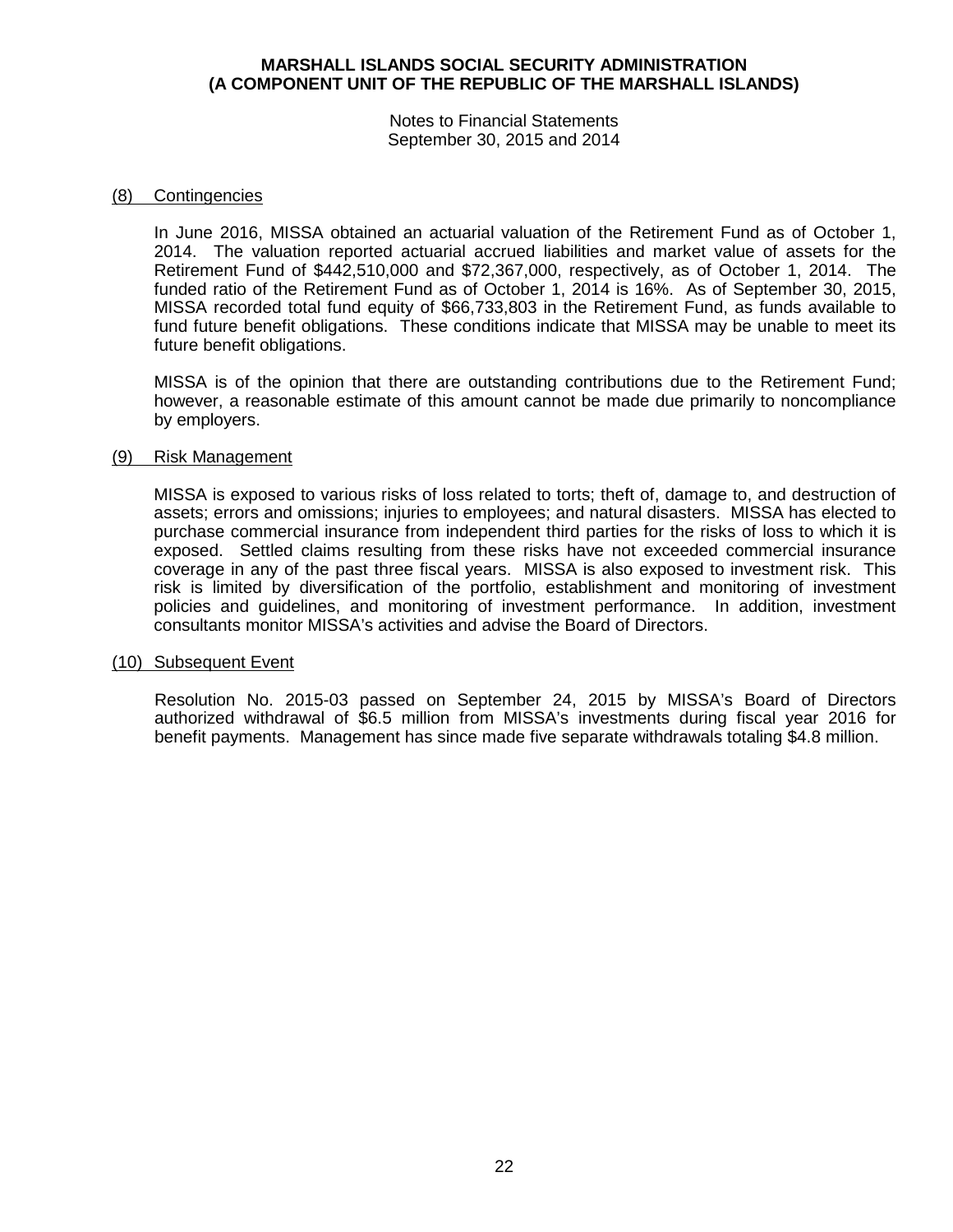Notes to Financial Statements September 30, 2015 and 2014

#### (8) Contingencies

In June 2016, MISSA obtained an actuarial valuation of the Retirement Fund as of October 1, 2014. The valuation reported actuarial accrued liabilities and market value of assets for the Retirement Fund of \$442,510,000 and \$72,367,000, respectively, as of October 1, 2014. The funded ratio of the Retirement Fund as of October 1, 2014 is 16%. As of September 30, 2015, MISSA recorded total fund equity of \$66,733,803 in the Retirement Fund, as funds available to fund future benefit obligations. These conditions indicate that MISSA may be unable to meet its future benefit obligations.

MISSA is of the opinion that there are outstanding contributions due to the Retirement Fund; however, a reasonable estimate of this amount cannot be made due primarily to noncompliance by employers.

#### (9) Risk Management

MISSA is exposed to various risks of loss related to torts; theft of, damage to, and destruction of assets; errors and omissions; injuries to employees; and natural disasters. MISSA has elected to purchase commercial insurance from independent third parties for the risks of loss to which it is exposed. Settled claims resulting from these risks have not exceeded commercial insurance coverage in any of the past three fiscal years. MISSA is also exposed to investment risk. This risk is limited by diversification of the portfolio, establishment and monitoring of investment policies and guidelines, and monitoring of investment performance. In addition, investment consultants monitor MISSA's activities and advise the Board of Directors.

#### (10) Subsequent Event

Resolution No. 2015-03 passed on September 24, 2015 by MISSA's Board of Directors authorized withdrawal of \$6.5 million from MISSA's investments during fiscal year 2016 for benefit payments. Management has since made five separate withdrawals totaling \$4.8 million.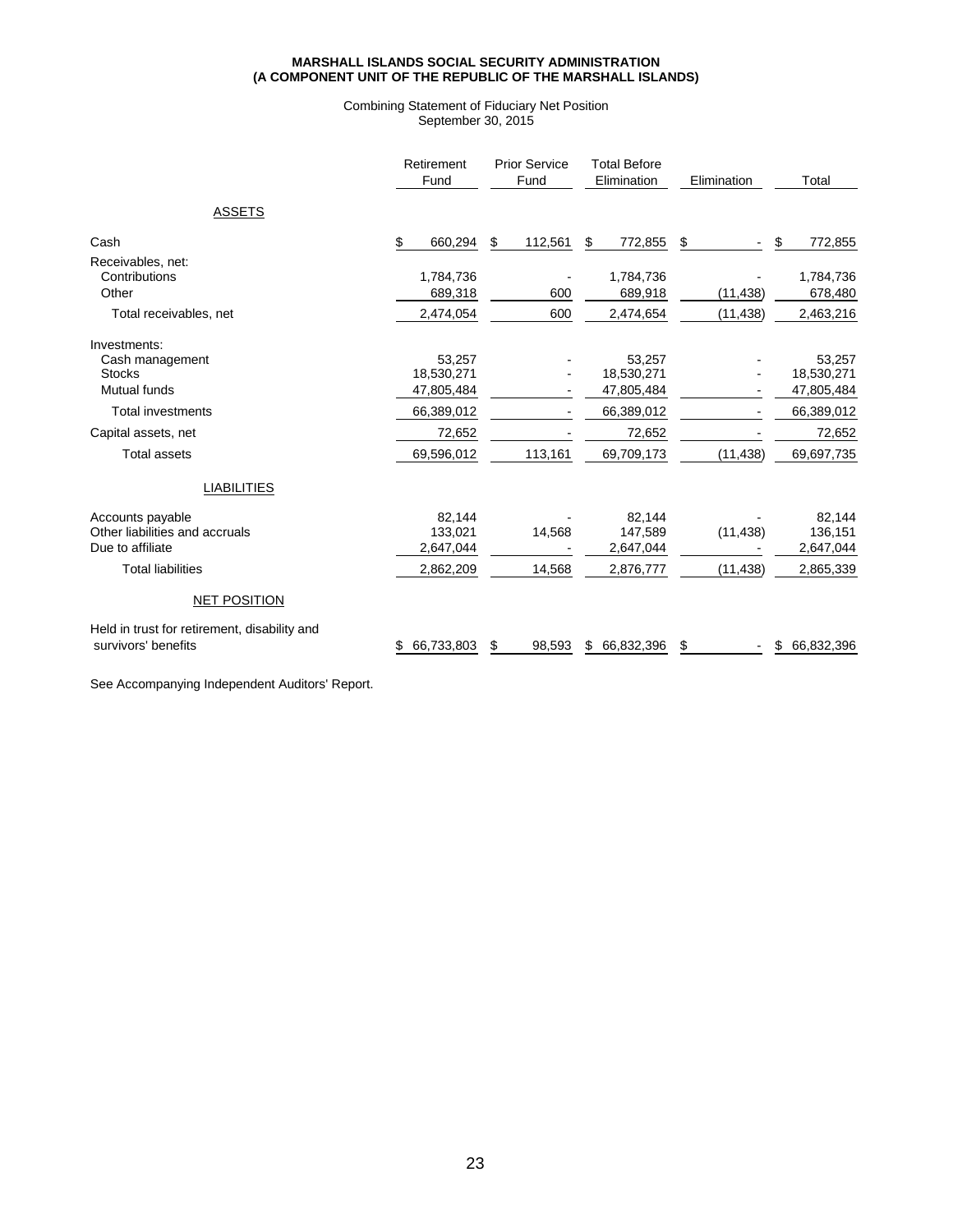#### Combining Statement of Fiduciary Net Position September 30, 2015

|                                                                     | Retirement<br>Fund       | <b>Prior Service</b><br>Fund | <b>Total Before</b><br>Elimination | Elimination | Total                    |
|---------------------------------------------------------------------|--------------------------|------------------------------|------------------------------------|-------------|--------------------------|
| <b>ASSETS</b>                                                       |                          |                              |                                    |             |                          |
| Cash                                                                | \$<br>660,294            | \$<br>112,561                | \$<br>772,855                      | \$          | \$<br>772,855            |
| Receivables, net:<br>Contributions                                  | 1,784,736                |                              |                                    |             |                          |
| Other                                                               | 689,318                  | 600                          | 1,784,736<br>689,918               | (11, 438)   | 1,784,736<br>678,480     |
| Total receivables, net                                              | 2,474,054                | 600                          | 2,474,654                          | (11, 438)   | 2,463,216                |
| Investments:                                                        |                          |                              |                                    |             |                          |
| Cash management                                                     | 53,257                   |                              | 53,257                             |             | 53,257                   |
| <b>Stocks</b><br>Mutual funds                                       | 18,530,271<br>47,805,484 |                              | 18,530,271<br>47,805,484           |             | 18,530,271<br>47,805,484 |
| <b>Total investments</b>                                            | 66,389,012               |                              | 66,389,012                         |             | 66,389,012               |
| Capital assets, net                                                 | 72,652                   |                              | 72,652                             |             | 72,652                   |
| <b>Total assets</b>                                                 | 69,596,012               | 113,161                      | 69,709,173                         | (11, 438)   | 69,697,735               |
| <b>LIABILITIES</b>                                                  |                          |                              |                                    |             |                          |
| Accounts payable                                                    | 82,144                   |                              | 82,144                             |             | 82,144                   |
| Other liabilities and accruals                                      | 133,021                  | 14,568                       | 147,589                            | (11, 438)   | 136,151                  |
| Due to affiliate                                                    | 2,647,044                |                              | 2,647,044                          |             | 2,647,044                |
| <b>Total liabilities</b>                                            | 2,862,209                | 14,568                       | 2,876,777                          | (11, 438)   | 2,865,339                |
| <b>NET POSITION</b>                                                 |                          |                              |                                    |             |                          |
| Held in trust for retirement, disability and<br>survivors' benefits | 66,733,803<br>\$         | \$<br>98,593                 | \$<br>66,832,396                   | \$          | 66,832,396<br>\$.        |

See Accompanying Independent Auditors' Report.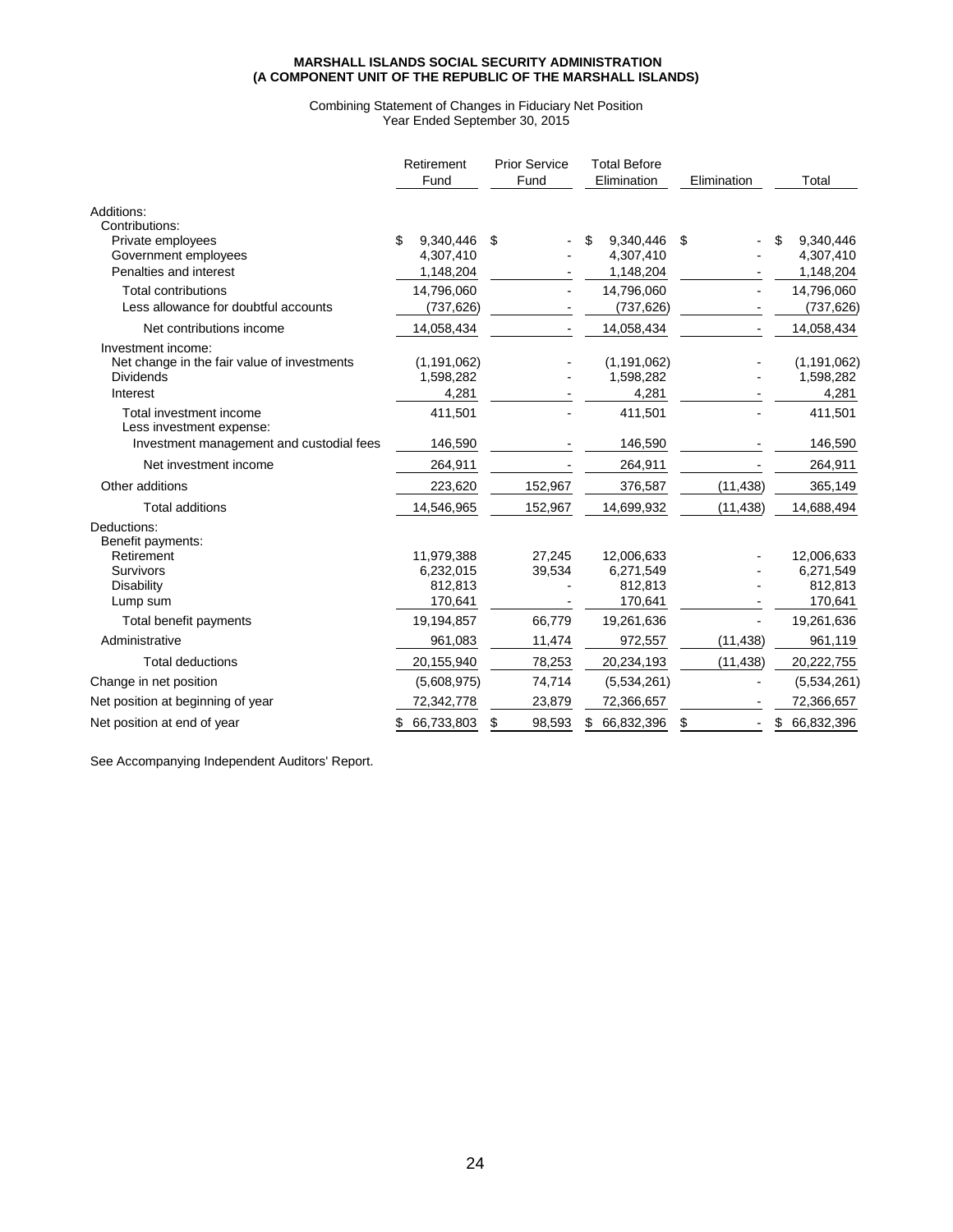#### Combining Statement of Changes in Fiduciary Net Position Year Ended September 30, 2015

|                                                     | Retirement<br>Fund | <b>Prior Service</b><br>Fund | <b>Total Before</b><br>Elimination | Elimination | Total            |
|-----------------------------------------------------|--------------------|------------------------------|------------------------------------|-------------|------------------|
| Additions:<br>Contributions:                        |                    |                              |                                    |             |                  |
| Private employees                                   | \$<br>9,340,446    | \$                           | \$<br>9,340,446                    | -\$         | \$<br>9,340,446  |
| Government employees                                | 4,307,410          |                              | 4,307,410                          |             | 4,307,410        |
| Penalties and interest                              | 1,148,204          |                              | 1,148,204                          |             | 1,148,204        |
| <b>Total contributions</b>                          | 14,796,060         |                              | 14,796,060                         |             | 14,796,060       |
| Less allowance for doubtful accounts                | (737, 626)         |                              | (737, 626)                         |             | (737, 626)       |
| Net contributions income                            | 14,058,434         | $\overline{a}$               | 14,058,434                         |             | 14,058,434       |
| Investment income:                                  |                    |                              |                                    |             |                  |
| Net change in the fair value of investments         | (1, 191, 062)      |                              | (1, 191, 062)                      |             | (1, 191, 062)    |
| <b>Dividends</b>                                    | 1,598,282          |                              | 1,598,282                          |             | 1,598,282        |
| Interest                                            | 4,281              |                              | 4,281                              |             | 4,281            |
| Total investment income<br>Less investment expense: | 411,501            |                              | 411,501                            |             | 411,501          |
| Investment management and custodial fees            | 146,590            |                              | 146,590                            |             | 146,590          |
| Net investment income                               | 264,911            |                              | 264,911                            |             | 264,911          |
| Other additions                                     | 223,620            | 152,967                      | 376,587                            | (11, 438)   | 365,149          |
| <b>Total additions</b>                              | 14,546,965         | 152,967                      | 14,699,932                         | (11, 438)   | 14,688,494       |
| Deductions:<br>Benefit payments:                    |                    |                              |                                    |             |                  |
| Retirement                                          | 11,979,388         | 27,245                       | 12,006,633                         |             | 12,006,633       |
| <b>Survivors</b>                                    | 6,232,015          | 39,534                       | 6,271,549                          |             | 6,271,549        |
| <b>Disability</b>                                   | 812,813            |                              | 812,813                            |             | 812,813          |
| Lump sum                                            | 170,641            |                              | 170,641                            |             | 170,641          |
| Total benefit payments                              | 19,194,857         | 66,779                       | 19,261,636                         |             | 19,261,636       |
| Administrative                                      | 961,083            | 11,474                       | 972,557                            | (11, 438)   | 961,119          |
| <b>Total deductions</b>                             | 20,155,940         | 78,253                       | 20,234,193                         | (11, 438)   | 20,222,755       |
| Change in net position                              | (5,608,975)        | 74,714                       | (5,534,261)                        |             | (5,534,261)      |
| Net position at beginning of year                   | 72,342,778         | 23,879                       | 72,366,657                         |             | 72,366,657       |
| Net position at end of year                         | 66,733,803<br>\$   | \$<br>98,593                 | 66,832,396<br>\$                   | \$          | \$<br>66,832,396 |

See Accompanying Independent Auditors' Report.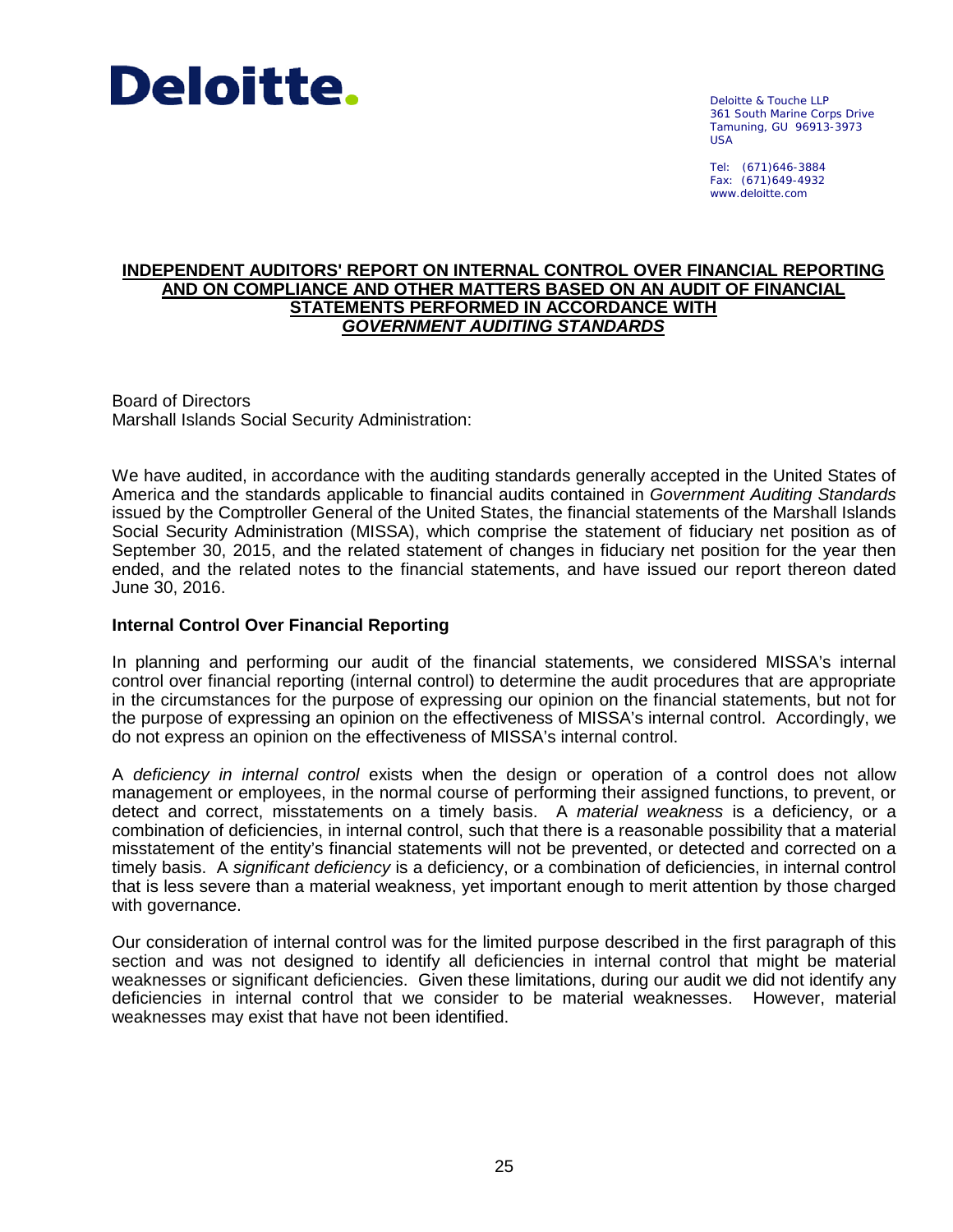

Deloitte & Touche LLP 361 South Marine Corps Drive Tamuning, GU 96913-3973 USA

Tel: (671)646-3884 Fax: (671)649-4932 www.deloitte.com

#### **INDEPENDENT AUDITORS' REPORT ON INTERNAL CONTROL OVER FINANCIAL REPORTING AND ON COMPLIANCE AND OTHER MATTERS BASED ON AN AUDIT OF FINANCIAL STATEMENTS PERFORMED IN ACCORDANCE WITH**  *GOVERNMENT AUDITING STANDARDS*

Board of Directors Marshall Islands Social Security Administration:

We have audited, in accordance with the auditing standards generally accepted in the United States of America and the standards applicable to financial audits contained in *Government Auditing Standards* issued by the Comptroller General of the United States, the financial statements of the Marshall Islands Social Security Administration (MISSA), which comprise the statement of fiduciary net position as of September 30, 2015, and the related statement of changes in fiduciary net position for the year then ended, and the related notes to the financial statements, and have issued our report thereon dated June 30, 2016.

## **Internal Control Over Financial Reporting**

In planning and performing our audit of the financial statements, we considered MISSA's internal control over financial reporting (internal control) to determine the audit procedures that are appropriate in the circumstances for the purpose of expressing our opinion on the financial statements, but not for the purpose of expressing an opinion on the effectiveness of MISSA's internal control. Accordingly, we do not express an opinion on the effectiveness of MISSA's internal control.

A *deficiency in internal control* exists when the design or operation of a control does not allow management or employees, in the normal course of performing their assigned functions, to prevent, or detect and correct, misstatements on a timely basis. A *material weakness* is a deficiency, or a combination of deficiencies, in internal control, such that there is a reasonable possibility that a material misstatement of the entity's financial statements will not be prevented, or detected and corrected on a timely basis. A *significant deficiency* is a deficiency, or a combination of deficiencies, in internal control that is less severe than a material weakness, yet important enough to merit attention by those charged with governance.

Our consideration of internal control was for the limited purpose described in the first paragraph of this section and was not designed to identify all deficiencies in internal control that might be material weaknesses or significant deficiencies. Given these limitations, during our audit we did not identify any deficiencies in internal control that we consider to be material weaknesses. However, material weaknesses may exist that have not been identified.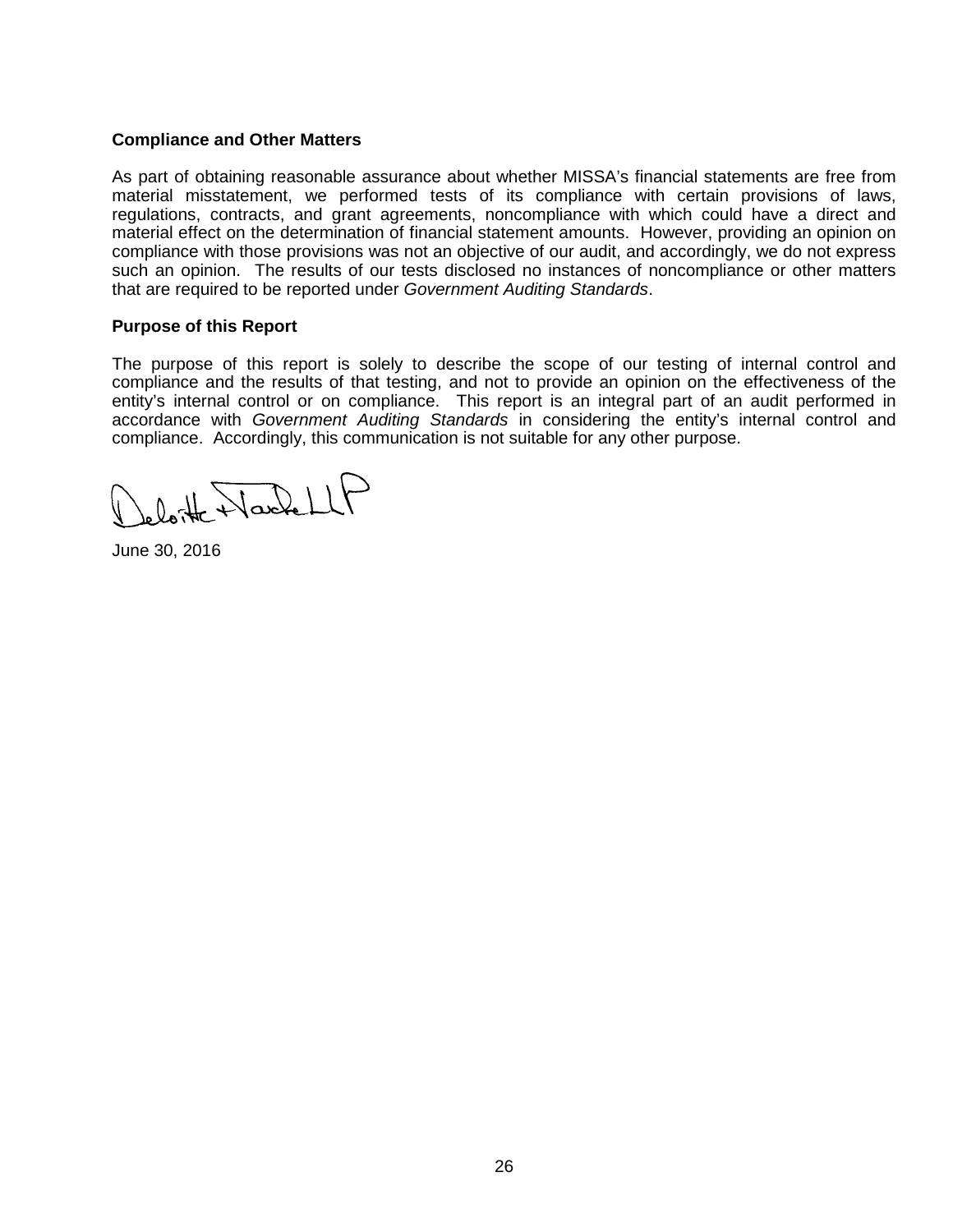## **Compliance and Other Matters**

As part of obtaining reasonable assurance about whether MISSA's financial statements are free from material misstatement, we performed tests of its compliance with certain provisions of laws, regulations, contracts, and grant agreements, noncompliance with which could have a direct and material effect on the determination of financial statement amounts. However, providing an opinion on compliance with those provisions was not an objective of our audit, and accordingly, we do not express such an opinion. The results of our tests disclosed no instances of noncompliance or other matters that are required to be reported under *Government Auditing Standards*.

## **Purpose of this Report**

The purpose of this report is solely to describe the scope of our testing of internal control and compliance and the results of that testing, and not to provide an opinion on the effectiveness of the entity's internal control or on compliance. This report is an integral part of an audit performed in accordance with *Government Auditing Standards* in considering the entity's internal control and compliance. Accordingly, this communication is not suitable for any other purpose.

clothe NachellP

June 30, 2016